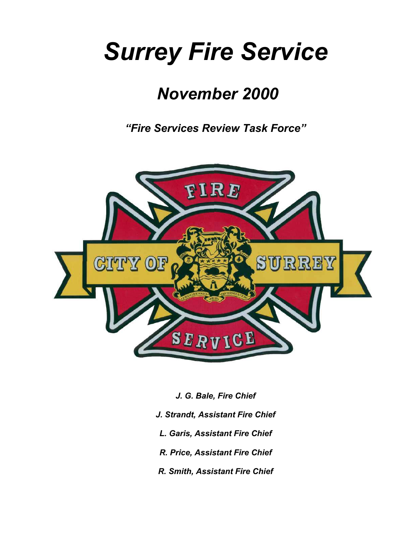# *Surrey Fire Service*

# *November 2000*

*"Fire Services Review Task Force"* 



- *J. G. Bale, Fire Chief*
- *J. Strandt, Assistant Fire Chief*
- *L. Garis, Assistant Fire Chief*
- *R. Price, Assistant Fire Chief*
- *R. Smith, Assistant Fire Chief*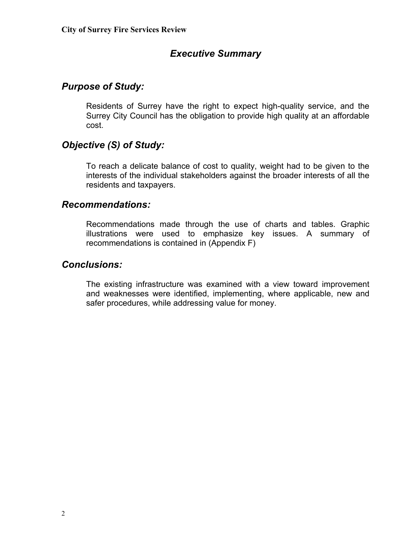# *Executive Summary*

#### *Purpose of Study:*

Residents of Surrey have the right to expect high-quality service, and the Surrey City Council has the obligation to provide high quality at an affordable cost.

#### *Objective (S) of Study:*

To reach a delicate balance of cost to quality, weight had to be given to the interests of the individual stakeholders against the broader interests of all the residents and taxpayers.

#### *Recommendations:*

Recommendations made through the use of charts and tables. Graphic illustrations were used to emphasize key issues. A summary of recommendations is contained in (Appendix F)

#### *Conclusions:*

The existing infrastructure was examined with a view toward improvement and weaknesses were identified, implementing, where applicable, new and safer procedures, while addressing value for money.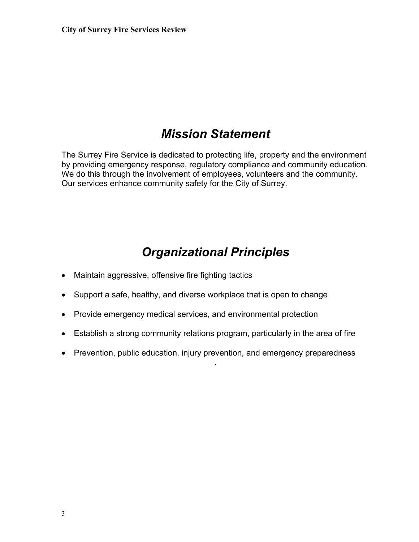# *Mission Statement*

The Surrey Fire Service is dedicated to protecting life, property and the environment by providing emergency response, regulatory compliance and community education. We do this through the involvement of employees, volunteers and the community. Our services enhance community safety for the City of Surrey.

# *Organizational Principles*

- Maintain aggressive, offensive fire fighting tactics
- Support a safe, healthy, and diverse workplace that is open to change
- Provide emergency medical services, and environmental protection
- Establish a strong community relations program, particularly in the area of fire
- Prevention, public education, injury prevention, and emergency preparedness

.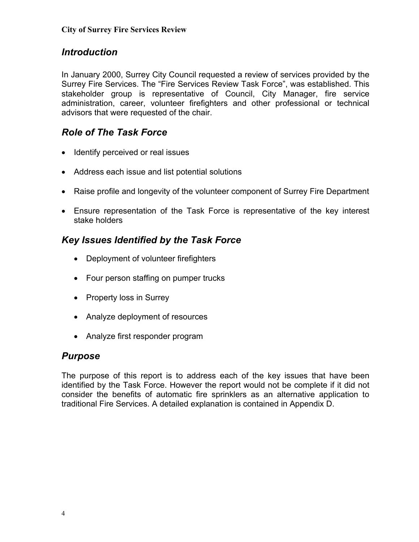# *Introduction*

In January 2000, Surrey City Council requested a review of services provided by the Surrey Fire Services. The "Fire Services Review Task Force", was established. This stakeholder group is representative of Council, City Manager, fire service administration, career, volunteer firefighters and other professional or technical advisors that were requested of the chair.

# *Role of The Task Force*

- Identify perceived or real issues
- Address each issue and list potential solutions
- Raise profile and longevity of the volunteer component of Surrey Fire Department
- Ensure representation of the Task Force is representative of the key interest stake holders

# *Key Issues Identified by the Task Force*

- Deployment of volunteer firefighters
- Four person staffing on pumper trucks
- Property loss in Surrey
- Analyze deployment of resources
- Analyze first responder program

#### *Purpose*

The purpose of this report is to address each of the key issues that have been identified by the Task Force. However the report would not be complete if it did not consider the benefits of automatic fire sprinklers as an alternative application to traditional Fire Services. A detailed explanation is contained in Appendix D.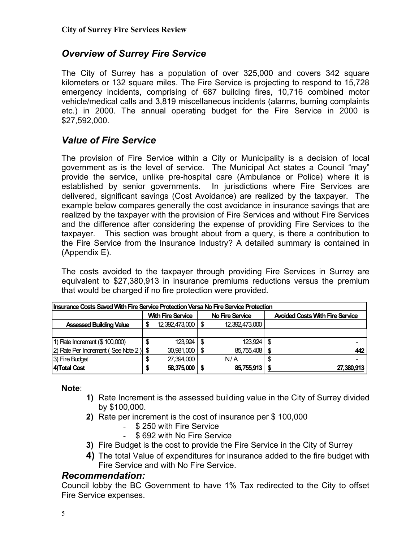# *Overview of Surrey Fire Service*

The City of Surrey has a population of over 325,000 and covers 342 square kilometers or 132 square miles. The Fire Service is projecting to respond to 15,728 emergency incidents, comprising of 687 building fires, 10,716 combined motor vehicle/medical calls and 3,819 miscellaneous incidents (alarms, burning complaints etc.) in 2000. The annual operating budget for the Fire Service in 2000 is \$27,592,000.

# *Value of Fire Service*

The provision of Fire Service within a City or Municipality is a decision of local government as is the level of service. The Municipal Act states a Council "may" provide the service, unlike pre-hospital care (Ambulance or Police) where it is established by senior governments. In jurisdictions where Fire Services are delivered, significant savings (Cost Avoidance) are realized by the taxpayer. The example below compares generally the cost avoidance in insurance savings that are realized by the taxpayer with the provision of Fire Services and without Fire Services and the difference after considering the expense of providing Fire Services to the taxpayer. This section was brought about from a query, is there a contribution to the Fire Service from the Insurance Industry? A detailed summary is contained in (Appendix E).

The costs avoided to the taxpayer through providing Fire Services in Surrey are equivalent to \$27,380,913 in insurance premiums reductions versus the premium that would be charged if no fire protection were provided.

| Insurance Costs Saved With Fire Service Protection Versa No Fire Service Protection |                          |                     |      |                        |   |                                        |  |  |  |  |
|-------------------------------------------------------------------------------------|--------------------------|---------------------|------|------------------------|---|----------------------------------------|--|--|--|--|
|                                                                                     | <b>With Fire Service</b> |                     |      | <b>No Fire Service</b> |   | <b>Avoided Costs With Fire Service</b> |  |  |  |  |
| <b>Assessed Building Value</b>                                                      |                          | 12,392,473,000   \$ |      | 12,392,473,000         |   |                                        |  |  |  |  |
|                                                                                     |                          |                     |      |                        |   |                                        |  |  |  |  |
| 1) Rate Increment (\$ 100,000)                                                      | \$                       | 123.924             | - \$ | 123.924                | S |                                        |  |  |  |  |
| 2) Rate Per Increment (See Note 2) \$                                               |                          | 30,981,000          | - \$ | 85,755,408             |   | 442                                    |  |  |  |  |
| 3) Fire Budget                                                                      |                          | 27,394,000          |      | N/A                    |   |                                        |  |  |  |  |
| 4) Total Cost                                                                       |                          | 58,375,000          |      | 85,755,913             |   | 27,380,913                             |  |  |  |  |

#### **Note**:

- **1)** Rate Increment is the assessed building value in the City of Surrey divided by \$100,000.
- **2)** Rate per increment is the cost of insurance per \$ 100,000
	- \$ 250 with Fire Service
	- \$ 692 with No Fire Service
- **3)** Fire Budget is the cost to provide the Fire Service in the City of Surrey
- **4)** The total Value of expenditures for insurance added to the fire budget with Fire Service and with No Fire Service.

#### *Recommendation:*

Council lobby the BC Government to have 1% Tax redirected to the City to offset Fire Service expenses.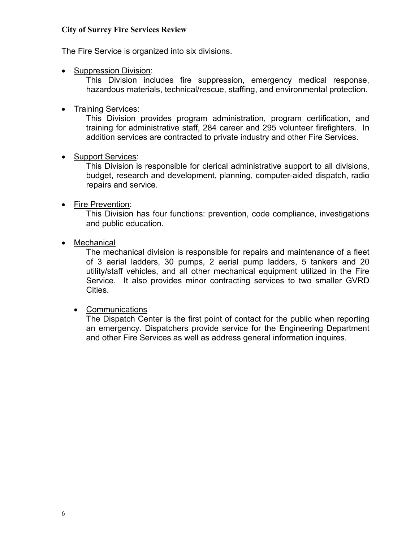The Fire Service is organized into six divisions.

• Suppression Division:

This Division includes fire suppression, emergency medical response, hazardous materials, technical/rescue, staffing, and environmental protection.

• Training Services:

This Division provides program administration, program certification, and training for administrative staff, 284 career and 295 volunteer firefighters. In addition services are contracted to private industry and other Fire Services.

• Support Services:

This Division is responsible for clerical administrative support to all divisions, budget, research and development, planning, computer-aided dispatch, radio repairs and service.

• Fire Prevention:

This Division has four functions: prevention, code compliance, investigations and public education.

• Mechanical

The mechanical division is responsible for repairs and maintenance of a fleet of 3 aerial ladders, 30 pumps, 2 aerial pump ladders, 5 tankers and 20 utility/staff vehicles, and all other mechanical equipment utilized in the Fire Service. It also provides minor contracting services to two smaller GVRD Cities.

• Communications

The Dispatch Center is the first point of contact for the public when reporting an emergency. Dispatchers provide service for the Engineering Department and other Fire Services as well as address general information inquires.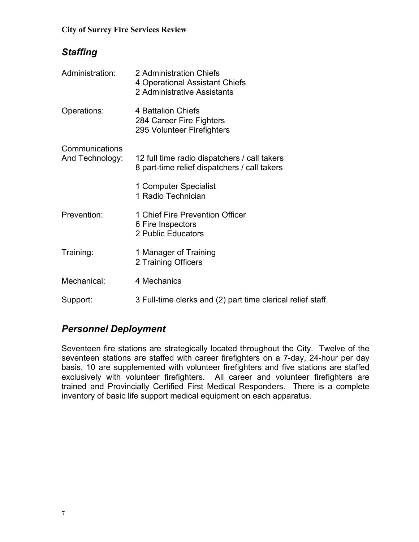# *Staffing*

| Administration:                   | 2 Administration Chiefs<br>4 Operational Assistant Chiefs<br>2 Administrative Assistants     |
|-----------------------------------|----------------------------------------------------------------------------------------------|
| Operations:                       | 4 Battalion Chiefs<br>284 Career Fire Fighters<br>295 Volunteer Firefighters                 |
| Communications<br>And Technology: | 12 full time radio dispatchers / call takers<br>8 part-time relief dispatchers / call takers |
|                                   | 1 Computer Specialist<br>1 Radio Technician                                                  |
| Prevention:                       | 1 Chief Fire Prevention Officer<br>6 Fire Inspectors<br>2 Public Educators                   |
| Training:                         | 1 Manager of Training<br>2 Training Officers                                                 |
| Mechanical:                       | 4 Mechanics                                                                                  |
| Support:                          | 3 Full-time clerks and (2) part time clerical relief staff.                                  |

# *Personnel Deployment*

Seventeen fire stations are strategically located throughout the City. Twelve of the seventeen stations are staffed with career firefighters on a 7-day, 24-hour per day basis, 10 are supplemented with volunteer firefighters and five stations are staffed exclusively with volunteer firefighters. All career and volunteer firefighters are trained and Provincially Certified First Medical Responders. There is a complete inventory of basic life support medical equipment on each apparatus.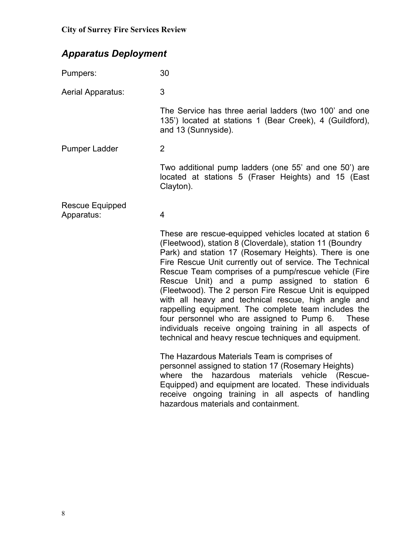# *Apparatus Deployment*

| Pumpers:                             | 30                                                                                                                                                                                                                                                                                                                                                                                                                                                                                                                                                                                                                                                                                                         |
|--------------------------------------|------------------------------------------------------------------------------------------------------------------------------------------------------------------------------------------------------------------------------------------------------------------------------------------------------------------------------------------------------------------------------------------------------------------------------------------------------------------------------------------------------------------------------------------------------------------------------------------------------------------------------------------------------------------------------------------------------------|
| Aerial Apparatus:                    | 3                                                                                                                                                                                                                                                                                                                                                                                                                                                                                                                                                                                                                                                                                                          |
|                                      | The Service has three aerial ladders (two 100' and one<br>135') located at stations 1 (Bear Creek), 4 (Guildford),<br>and 13 (Sunnyside).                                                                                                                                                                                                                                                                                                                                                                                                                                                                                                                                                                  |
| <b>Pumper Ladder</b>                 | $\overline{2}$                                                                                                                                                                                                                                                                                                                                                                                                                                                                                                                                                                                                                                                                                             |
|                                      | Two additional pump ladders (one 55' and one 50') are<br>located at stations 5 (Fraser Heights) and 15 (East<br>Clayton).                                                                                                                                                                                                                                                                                                                                                                                                                                                                                                                                                                                  |
| <b>Rescue Equipped</b><br>Apparatus: | 4                                                                                                                                                                                                                                                                                                                                                                                                                                                                                                                                                                                                                                                                                                          |
|                                      | These are rescue-equipped vehicles located at station 6<br>(Fleetwood), station 8 (Cloverdale), station 11 (Boundry<br>Park) and station 17 (Rosemary Heights). There is one<br>Fire Rescue Unit currently out of service. The Technical<br>Rescue Team comprises of a pump/rescue vehicle (Fire<br>Rescue Unit) and a pump assigned to station 6<br>(Fleetwood). The 2 person Fire Rescue Unit is equipped<br>with all heavy and technical rescue, high angle and<br>rappelling equipment. The complete team includes the<br>four personnel who are assigned to Pump 6.<br><b>These</b><br>individuals receive ongoing training in all aspects of<br>technical and heavy rescue techniques and equipment. |
|                                      | The Hazardous Materials Team is comprises of<br>personnel assigned to station 17 (Rosemary Heights)<br>hazardous<br>materials vehicle<br>where<br>the<br>(Rescue-<br>Equipped) and equipment are located. These individuals<br>receive ongoing training in all aspects of handling<br>hazardous materials and containment.                                                                                                                                                                                                                                                                                                                                                                                 |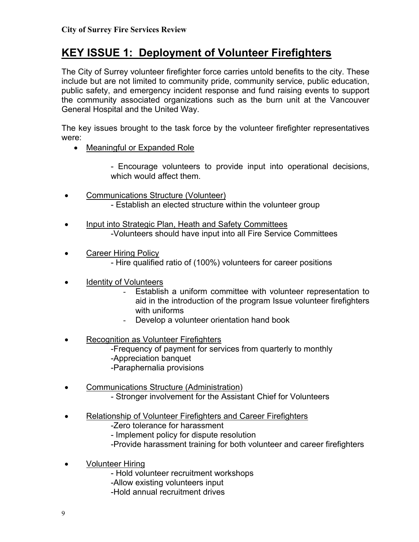# **KEY ISSUE 1: Deployment of Volunteer Firefighters**

The City of Surrey volunteer firefighter force carries untold benefits to the city. These include but are not limited to community pride, community service, public education, public safety, and emergency incident response and fund raising events to support the community associated organizations such as the burn unit at the Vancouver General Hospital and the United Way.

The key issues brought to the task force by the volunteer firefighter representatives were:

• Meaningful or Expanded Role

- Encourage volunteers to provide input into operational decisions, which would affect them.

- Communications Structure (Volunteer) - Establish an elected structure within the volunteer group
- Input into Strategic Plan, Heath and Safety Committees -Volunteers should have input into all Fire Service Committees
- Career Hiring Policy - Hire qualified ratio of (100%) volunteers for career positions
- Identity of Volunteers
	- Establish a uniform committee with volunteer representation to aid in the introduction of the program Issue volunteer firefighters with uniforms
	- Develop a volunteer orientation hand book
- Recognition as Volunteer Firefighters -Frequency of payment for services from quarterly to monthly -Appreciation banquet -Paraphernalia provisions
- Communications Structure (Administration) - Stronger involvement for the Assistant Chief for Volunteers
- Relationship of Volunteer Firefighters and Career Firefighters
	- -Zero tolerance for harassment
	- Implement policy for dispute resolution
	- -Provide harassment training for both volunteer and career firefighters
- Volunteer Hiring
	- Hold volunteer recruitment workshops
	- -Allow existing volunteers input
	- -Hold annual recruitment drives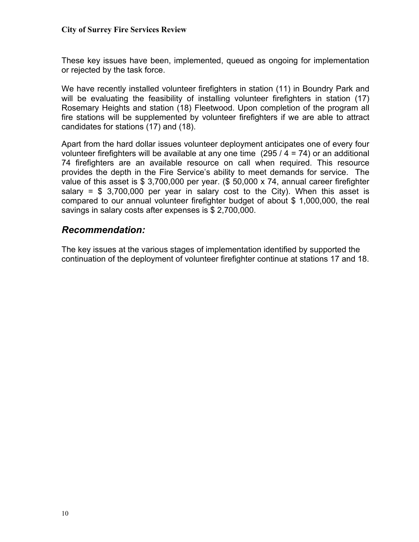These key issues have been, implemented, queued as ongoing for implementation or rejected by the task force.

We have recently installed volunteer firefighters in station (11) in Boundry Park and will be evaluating the feasibility of installing volunteer firefighters in station (17) Rosemary Heights and station (18) Fleetwood. Upon completion of the program all fire stations will be supplemented by volunteer firefighters if we are able to attract candidates for stations (17) and (18).

Apart from the hard dollar issues volunteer deployment anticipates one of every four volunteer firefighters will be available at any one time (295 / 4 = 74) or an additional 74 firefighters are an available resource on call when required. This resource provides the depth in the Fire Service's ability to meet demands for service. The value of this asset is \$ 3,700,000 per year. (\$ 50,000 x 74, annual career firefighter salary =  $$3,700,000$  per year in salary cost to the City). When this asset is compared to our annual volunteer firefighter budget of about \$ 1,000,000, the real savings in salary costs after expenses is \$ 2,700,000.

#### *Recommendation:*

The key issues at the various stages of implementation identified by supported the continuation of the deployment of volunteer firefighter continue at stations 17 and 18.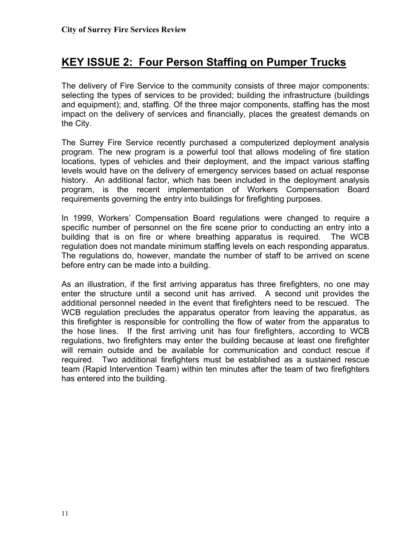# **KEY ISSUE 2: Four Person Staffing on Pumper Trucks**

The delivery of Fire Service to the community consists of three major components: selecting the types of services to be provided; building the infrastructure (buildings and equipment); and, staffing. Of the three major components, staffing has the most impact on the delivery of services and financially, places the greatest demands on the City.

The Surrey Fire Service recently purchased a computerized deployment analysis program. The new program is a powerful tool that allows modeling of fire station locations, types of vehicles and their deployment, and the impact various staffing levels would have on the delivery of emergency services based on actual response history. An additional factor, which has been included in the deployment analysis program, is the recent implementation of Workers Compensation Board requirements governing the entry into buildings for firefighting purposes.

In 1999, Workers' Compensation Board regulations were changed to require a specific number of personnel on the fire scene prior to conducting an entry into a building that is on fire or where breathing apparatus is required. The WCB regulation does not mandate minimum staffing levels on each responding apparatus. The regulations do, however, mandate the number of staff to be arrived on scene before entry can be made into a building.

As an illustration, if the first arriving apparatus has three firefighters, no one may enter the structure until a second unit has arrived. A second unit provides the additional personnel needed in the event that firefighters need to be rescued. The WCB regulation precludes the apparatus operator from leaving the apparatus, as this firefighter is responsible for controlling the flow of water from the apparatus to the hose lines. If the first arriving unit has four firefighters, according to WCB regulations, two firefighters may enter the building because at least one firefighter will remain outside and be available for communication and conduct rescue if required. Two additional firefighters must be established as a sustained rescue team (Rapid Intervention Team) within ten minutes after the team of two firefighters has entered into the building.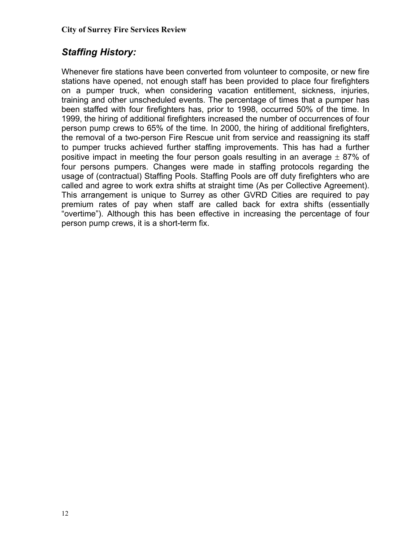# *Staffing History:*

Whenever fire stations have been converted from volunteer to composite, or new fire stations have opened, not enough staff has been provided to place four firefighters on a pumper truck, when considering vacation entitlement, sickness, injuries, training and other unscheduled events. The percentage of times that a pumper has been staffed with four firefighters has, prior to 1998, occurred 50% of the time. In 1999, the hiring of additional firefighters increased the number of occurrences of four person pump crews to 65% of the time. In 2000, the hiring of additional firefighters, the removal of a two-person Fire Rescue unit from service and reassigning its staff to pumper trucks achieved further staffing improvements. This has had a further positive impact in meeting the four person goals resulting in an average  $\pm$  87% of four persons pumpers. Changes were made in staffing protocols regarding the usage of (contractual) Staffing Pools. Staffing Pools are off duty firefighters who are called and agree to work extra shifts at straight time (As per Collective Agreement). This arrangement is unique to Surrey as other GVRD Cities are required to pay premium rates of pay when staff are called back for extra shifts (essentially "overtime"). Although this has been effective in increasing the percentage of four person pump crews, it is a short-term fix.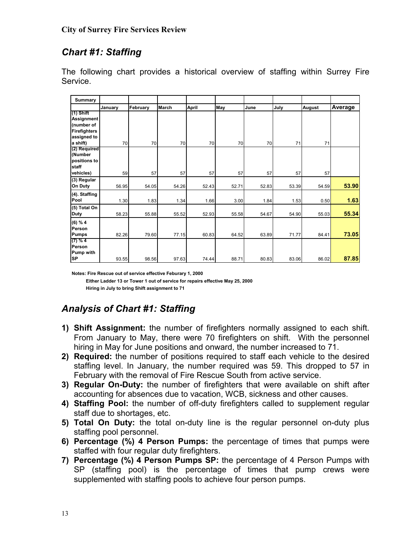# *Chart #1: Staffing*

The following chart provides a historical overview of staffing within Surrey Fire Service.

| Summary                     |         |          |              |              |       |       |       |        |         |
|-----------------------------|---------|----------|--------------|--------------|-------|-------|-------|--------|---------|
|                             | January | February | <b>March</b> | <b>April</b> | May   | June  | July  | August | Average |
| (1) Shift                   |         |          |              |              |       |       |       |        |         |
| Assignment<br>(number of    |         |          |              |              |       |       |       |        |         |
| <b>Firefighters</b>         |         |          |              |              |       |       |       |        |         |
| assigned to                 |         |          |              |              |       |       |       |        |         |
| a shift)<br>(2) Required    | 70      | 70       | 70           | 70           | 70    | 70    | 71    | 71     |         |
| (Number                     |         |          |              |              |       |       |       |        |         |
| positions to                |         |          |              |              |       |       |       |        |         |
| staff                       |         |          |              |              |       |       |       |        |         |
| vehicles)                   | 59      | 57       | 57           | 57           | 57    | 57    | 57    | 57     |         |
| (3) Regular<br>On Duty      | 56.95   | 54.05    | 54.26        | 52.43        | 52.71 | 52.83 | 53.39 | 54.59  | 53.90   |
| (4). Staffing               |         |          |              |              |       |       |       |        |         |
| Pool                        | 1.30    | 1.83     | 1.34         | 1.66         | 3.00  | 1.84  | 1.53  | 0.50   | 1.63    |
| (5) Total On<br><b>Duty</b> | 58.23   | 55.88    | 55.52        | 52.93        | 55.58 | 54.67 | 54.90 | 55.03  | 55.34   |
| (6) % 4                     |         |          |              |              |       |       |       |        |         |
| Person                      |         |          |              |              |       |       |       |        |         |
| <b>Pumps</b>                | 82.26   | 79.60    | 77.15        | 60.83        | 64.52 | 63.89 | 71.77 | 84.41  | 73.05   |
| $(7)$ % 4<br>Person         |         |          |              |              |       |       |       |        |         |
| <b>Pump with</b>            |         |          |              |              |       |       |       |        |         |
| <b>SP</b>                   | 93.55   | 98.56    | 97.63        | 74.44        | 88.71 | 80.83 | 83.06 | 86.02  | 87.85   |

**Notes: Fire Rescue out of service effective Feburary 1, 2000 Either Ladder 13 or Tower 1 out of service for repairs effective May 25, 2000 Hiring in July to bring Shift assignment to 71**

# *Analysis of Chart #1: Staffing*

- **1) Shift Assignment:** the number of firefighters normally assigned to each shift. From January to May, there were 70 firefighters on shift. With the personnel hiring in May for June positions and onward, the number increased to 71.
- **2) Required:** the number of positions required to staff each vehicle to the desired staffing level. In January, the number required was 59. This dropped to 57 in February with the removal of Fire Rescue South from active service.
- **3) Regular On-Duty:** the number of firefighters that were available on shift after accounting for absences due to vacation, WCB, sickness and other causes.
- **4) Staffing Pool:** the number of off-duty firefighters called to supplement regular staff due to shortages, etc.
- **5) Total On Duty:** the total on-duty line is the regular personnel on-duty plus staffing pool personnel.
- **6) Percentage (%) 4 Person Pumps:** the percentage of times that pumps were staffed with four regular duty firefighters.
- **7) Percentage (%) 4 Person Pumps SP:** the percentage of 4 Person Pumps with SP (staffing pool) is the percentage of times that pump crews were supplemented with staffing pools to achieve four person pumps.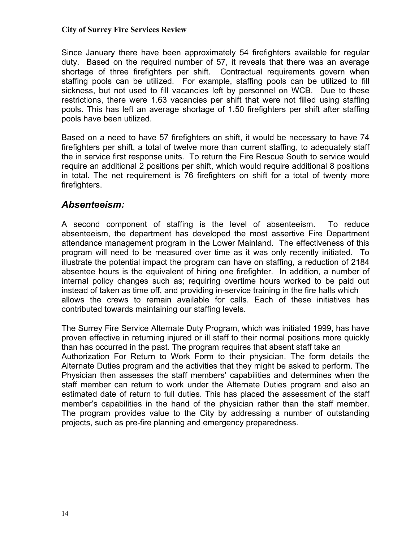Since January there have been approximately 54 firefighters available for regular duty. Based on the required number of 57, it reveals that there was an average shortage of three firefighters per shift. Contractual requirements govern when staffing pools can be utilized. For example, staffing pools can be utilized to fill sickness, but not used to fill vacancies left by personnel on WCB. Due to these restrictions, there were 1.63 vacancies per shift that were not filled using staffing pools. This has left an average shortage of 1.50 firefighters per shift after staffing pools have been utilized.

Based on a need to have 57 firefighters on shift, it would be necessary to have 74 firefighters per shift, a total of twelve more than current staffing, to adequately staff the in service first response units. To return the Fire Rescue South to service would require an additional 2 positions per shift, which would require additional 8 positions in total. The net requirement is 76 firefighters on shift for a total of twenty more firefighters.

#### *Absenteeism:*

A second component of staffing is the level of absenteeism. To reduce absenteeism, the department has developed the most assertive Fire Department attendance management program in the Lower Mainland. The effectiveness of this program will need to be measured over time as it was only recently initiated. To illustrate the potential impact the program can have on staffing, a reduction of 2184 absentee hours is the equivalent of hiring one firefighter. In addition, a number of internal policy changes such as; requiring overtime hours worked to be paid out instead of taken as time off, and providing in-service training in the fire halls which allows the crews to remain available for calls. Each of these initiatives has contributed towards maintaining our staffing levels.

The Surrey Fire Service Alternate Duty Program, which was initiated 1999, has have proven effective in returning injured or ill staff to their normal positions more quickly than has occurred in the past. The program requires that absent staff take an Authorization For Return to Work Form to their physician. The form details the Alternate Duties program and the activities that they might be asked to perform. The Physician then assesses the staff members' capabilities and determines when the staff member can return to work under the Alternate Duties program and also an estimated date of return to full duties. This has placed the assessment of the staff member's capabilities in the hand of the physician rather than the staff member. The program provides value to the City by addressing a number of outstanding projects, such as pre-fire planning and emergency preparedness.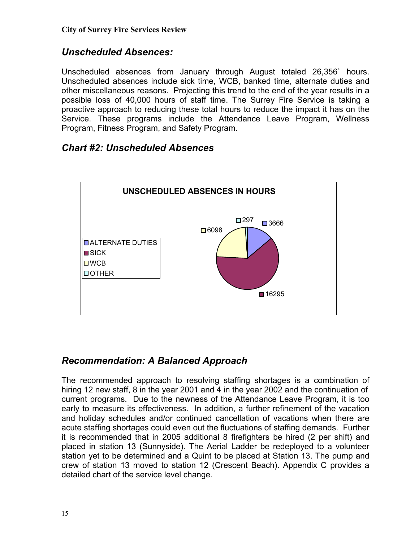# *Unscheduled Absences:*

Unscheduled absences from January through August totaled 26,356` hours. Unscheduled absences include sick time, WCB, banked time, alternate duties and other miscellaneous reasons. Projecting this trend to the end of the year results in a possible loss of 40,000 hours of staff time. The Surrey Fire Service is taking a proactive approach to reducing these total hours to reduce the impact it has on the Service. These programs include the Attendance Leave Program, Wellness Program, Fitness Program, and Safety Program.

#### *Chart #2: Unscheduled Absences*



# *Recommendation: A Balanced Approach*

The recommended approach to resolving staffing shortages is a combination of hiring 12 new staff, 8 in the year 2001 and 4 in the year 2002 and the continuation of current programs. Due to the newness of the Attendance Leave Program, it is too early to measure its effectiveness. In addition, a further refinement of the vacation and holiday schedules and/or continued cancellation of vacations when there are acute staffing shortages could even out the fluctuations of staffing demands. Further it is recommended that in 2005 additional 8 firefighters be hired (2 per shift) and placed in station 13 (Sunnyside). The Aerial Ladder be redeployed to a volunteer station yet to be determined and a Quint to be placed at Station 13. The pump and crew of station 13 moved to station 12 (Crescent Beach). Appendix C provides a detailed chart of the service level change.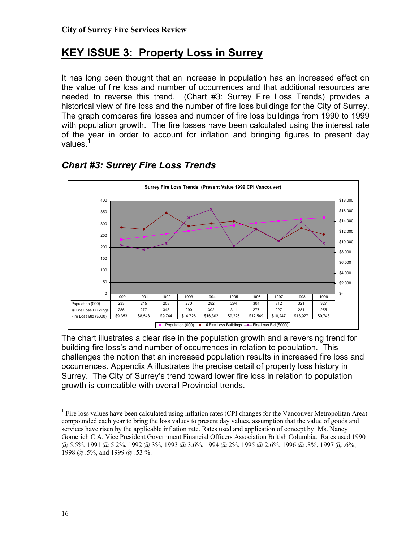# **KEY ISSUE 3: Property Loss in Surrey**

It has long been thought that an increase in population has an increased effect on the value of fire loss and number of occurrences and that additional resources are needed to reverse this trend. (Chart #3: Surrey Fire Loss Trends) provides a historical view of fire loss and the number of fire loss buildings for the City of Surrey. The graph compares fire losses and number of fire loss buildings from 1990 to 1999 with population growth. The fire losses have been calculated using the interest rate of the year in order to account for inflation and bringing figures to present day values.



# *Chart #3: Surrey Fire Loss Trends*

The chart illustrates a clear rise in the population growth and a reversing trend for building fire loss's and number of occurrences in relation to population. This challenges the notion that an increased population results in increased fire loss and occurrences. Appendix A illustrates the precise detail of property loss history in Surrey. The City of Surrey's trend toward lower fire loss in relation to population growth is compatible with overall Provincial trends.

<span id="page-15-0"></span><sup>|&</sup>lt;br>|<br>| <sup>1</sup> Fire loss values have been calculated using inflation rates (CPI changes for the Vancouver Metropolitan Area) compounded each year to bring the loss values to present day values, assumption that the value of goods and services have risen by the applicable inflation rate. Rates used and application of concept by: Ms. Nancy Gomerich C.A. Vice President Government Financial Officers Association British Columbia. Rates used 1990 @ 5.5%, 1991 @ 5.2%, 1992 @ 3%, 1993 @ 3.6%, 1994 @ 2%, 1995 @ 2.6%, 1996 @ .8%, 1997 @ .6%, 1998 @ .5%, and 1999 @ .53 %.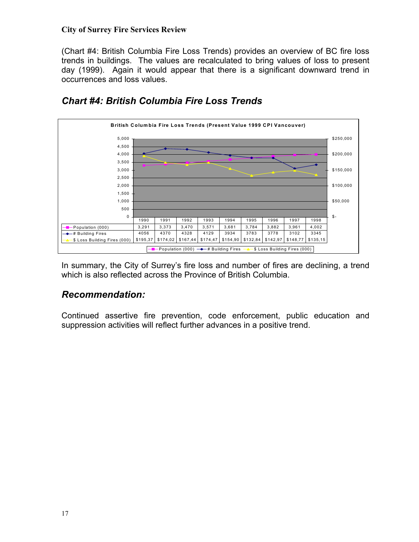(Chart #4: British Columbia Fire Loss Trends) provides an overview of BC fire loss trends in buildings. The values are recalculated to bring values of loss to present day (1999). Again it would appear that there is a significant downward trend in occurrences and loss values.



# *Chart #4: British Columbia Fire Loss Trends*

In summary, the City of Surrey's fire loss and number of fires are declining, a trend which is also reflected across the Province of British Columbia.

# *Recommendation:*

Continued assertive fire prevention, code enforcement, public education and suppression activities will reflect further advances in a positive trend.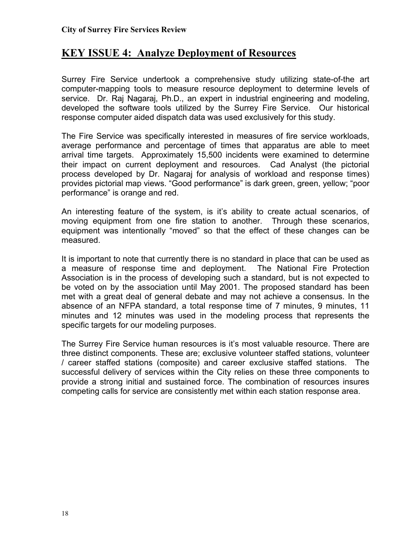# **KEY ISSUE 4: Analyze Deployment of Resources**

Surrey Fire Service undertook a comprehensive study utilizing state-of-the art computer-mapping tools to measure resource deployment to determine levels of service. Dr. Raj Nagaraj, Ph.D., an expert in industrial engineering and modeling, developed the software tools utilized by the Surrey Fire Service. Our historical response computer aided dispatch data was used exclusively for this study.

The Fire Service was specifically interested in measures of fire service workloads, average performance and percentage of times that apparatus are able to meet arrival time targets. Approximately 15,500 incidents were examined to determine their impact on current deployment and resources. Cad Analyst (the pictorial process developed by Dr. Nagaraj for analysis of workload and response times) provides pictorial map views. "Good performance" is dark green, green, yellow; "poor performance" is orange and red.

An interesting feature of the system, is it's ability to create actual scenarios, of moving equipment from one fire station to another. Through these scenarios, equipment was intentionally "moved" so that the effect of these changes can be measured.

It is important to note that currently there is no standard in place that can be used as a measure of response time and deployment. The National Fire Protection Association is in the process of developing such a standard, but is not expected to be voted on by the association until May 2001. The proposed standard has been met with a great deal of general debate and may not achieve a consensus. In the absence of an NFPA standard, a total response time of 7 minutes, 9 minutes, 11 minutes and 12 minutes was used in the modeling process that represents the specific targets for our modeling purposes.

The Surrey Fire Service human resources is it's most valuable resource. There are three distinct components. These are; exclusive volunteer staffed stations, volunteer / career staffed stations (composite) and career exclusive staffed stations. The successful delivery of services within the City relies on these three components to provide a strong initial and sustained force. The combination of resources insures competing calls for service are consistently met within each station response area.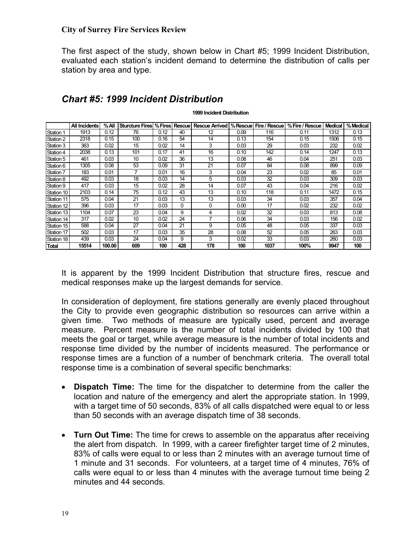The first aspect of the study, shown below in Chart #5; 1999 Incident Distribution, evaluated each station's incident demand to determine the distribution of calls per station by area and type.

|            | All Incidents | %All   | <b>Sturcture Fires % Fires Rescuel</b> |      |          | Rescue Arrived   % Rescue   Fire / Rescue |      |      | % Fire / Rescue | <b>Medical</b> | % Medical |
|------------|---------------|--------|----------------------------------------|------|----------|-------------------------------------------|------|------|-----------------|----------------|-----------|
|            |               |        |                                        |      |          |                                           |      |      |                 |                |           |
| Station 1  | 1913          | 0.12   | 76                                     | 0.12 | 40       | 12                                        | 0.09 | 116  | 0.11            | 1312           | 0.13      |
| Station 2  | 2318          | 0.15   | 100                                    | 0.16 | 54       | 14                                        | 0.13 | 154  | 0.15            | 1506           | 0.15      |
| Station 3  | 363           | 0.02   | 15                                     | 0.02 | 14       | 3                                         | 0.03 | 29   | 0.03            | 232            | 0.02      |
| Station 4  | 2038          | 0.13   | 101                                    | 0.17 | 41       | 16                                        | 0.10 | 142  | 0.14            | 1247           | 0.13      |
| Station 5  | 461           | 0.03   | 10                                     | 0.02 | 36       | 13                                        | 0.08 | 46   | 0.04            | 251            | 0.03      |
| Station 6  | 1305          | 0.08   | 53                                     | 0.09 | 31       | 21                                        | 0.07 | 84   | 0.08            | 899            | 0.09      |
| Station 7  | 183           | 0.01   | 7                                      | 0.01 | 16       | 3                                         | 0.04 | 23   | 0.02            | 85             | 0.01      |
| Station 8  | 492           | 0.03   | 18                                     | 0.03 | 14       | 5                                         | 0.03 | 32   | 0.03            | 309            | 0.03      |
| Station 9  | 417           | 0.03   | 15                                     | 0.02 | 28       | 14                                        | 0.07 | 43   | 0.04            | 216            | 0.02      |
| Station 10 | 2103          | 0.14   | 75                                     | 0.12 | 43       | 13                                        | 0.10 | 118  | 0.11            | 1472           | 0.15      |
| Station 11 | 575           | 0.04   | 21                                     | 0.03 | 13       | 13                                        | 0.03 | 34   | 0.03            | 357            | 0.04      |
| Station 12 | 396           | 0.03   | 17                                     | 0.03 | $\Omega$ | 0                                         | 0.00 | 17   | 0.02            | 232            | 0.02      |
| Station 13 | 1104          | 0.07   | 23                                     | 0.04 | 9        | 4                                         | 0.02 | 32   | 0.03            | 813            | 0.08      |
| Station 14 | 317           | 0.02   | 10                                     | 0.02 | 24       |                                           | 0.06 | 34   | 0.03            | 156            | 0.02      |
| Station 15 | 588           | 0.04   | 27                                     | 0.04 | 21       | 9                                         | 0.05 | 48   | 0.05            | 337            | 0.03      |
| Station 17 | 502           | 0.03   | 17                                     | 0.03 | 35       | 28                                        | 0.08 | 52   | 0.05            | 263            | 0.03      |
| Station 18 | 439           | 0.03   | 24                                     | 0.04 | 9        | 3                                         | 0.02 | 33   | 0.03            | 260            | 0.03      |
| Total      | 15514         | 100.00 | 609                                    | 100  | 428      | 178                                       | 100  | 1037 | 100%            | 9947           | 100       |

#### *Chart #5: 1999 Incident Distribution*

**1999 Incident Distribution**

It is apparent by the 1999 Incident Distribution that structure fires, rescue and medical responses make up the largest demands for service.

In consideration of deployment, fire stations generally are evenly placed throughout the City to provide even geographic distribution so resources can arrive within a given time. Two methods of measure are typically used, percent and average measure. Percent measure is the number of total incidents divided by 100 that meets the goal or target, while average measure is the number of total incidents and response time divided by the number of incidents measured. The performance or response times are a function of a number of benchmark criteria. The overall total response time is a combination of several specific benchmarks:

- **Dispatch Time:** The time for the dispatcher to determine from the caller the location and nature of the emergency and alert the appropriate station. In 1999, with a target time of 50 seconds, 83% of all calls dispatched were equal to or less than 50 seconds with an average dispatch time of 38 seconds.
- **Turn Out Time:** The time for crews to assemble on the apparatus after receiving the alert from dispatch. In 1999, with a career firefighter target time of 2 minutes, 83% of calls were equal to or less than 2 minutes with an average turnout time of 1 minute and 31 seconds. For volunteers, at a target time of 4 minutes, 76% of calls were equal to or less than 4 minutes with the average turnout time being 2 minutes and 44 seconds.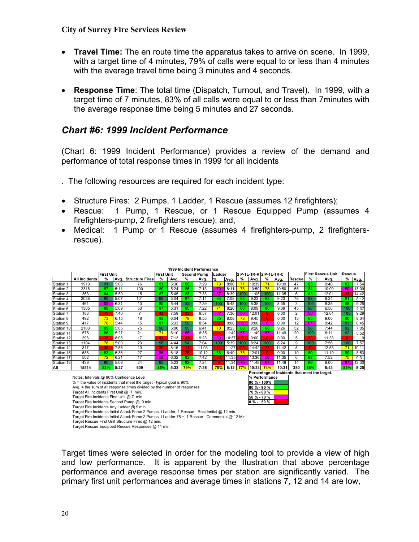- **Travel Time:** The en route time the apparatus takes to arrive on scene. In 1999, with a target time of 4 minutes, 79% of calls were equal to or less than 4 minutes with the average travel time being 3 minutes and 4 seconds.
- **Response Time**: The total time (Dispatch, Turnout, and Travel). In 1999, with a target time of 7 minutes, 83% of all calls were equal to or less than 7minutes with the average response time being 5 minutes and 27 seconds.

#### *Chart #6: 1999 Incident Performance*

(Chart 6: 1999 Incident Performance) provides a review of the demand and performance of total response times in 1999 for all incidents

- . The following resources are required for each incident type:
- Structure Fires: 2 Pumps, 1 Ladder, 1 Rescue (assumes 12 firefighters);
- Rescue: 1 Pump, 1 Rescue, or 1 Rescue Equipped Pump (assumes 4 firefighters-pump, 2 firefighters rescue); and,
- Medical:1 Pump or 1 Rescue (assumes 4 firefighters-pump, 2 firefightersrescue).

|            |                                           |                   |      |                                                                          |                   |      |     | 1999 Incident Performance |             |       |                |                         |                |       |                |     |                                               |              |       |
|------------|-------------------------------------------|-------------------|------|--------------------------------------------------------------------------|-------------------|------|-----|---------------------------|-------------|-------|----------------|-------------------------|----------------|-------|----------------|-----|-----------------------------------------------|--------------|-------|
|            |                                           | <b>First Unit</b> |      |                                                                          | <b>First Unit</b> |      |     | <b>Second Pump</b>        | Ladder      |       |                | 2 P-1L-1R-R 2 P-1L-1R-C |                |       |                |     | <b>First Rescue Unit</b>                      | Rescue       |       |
|            | <b>All Incidents</b>                      | %                 | Avg. | <b>Structure Fires</b>                                                   | %                 | Avg. | %   | Avg.                      | %           | Avg.  | %              | Avg.                    | %              | Avg.  | <b>Rescue</b>  | %   | Avg.                                          | ℅            | Avg.  |
| Station 1  | 1913                                      | 91                | 5:06 | 76                                                                       | 81                | 5:30 | 80  | 7:29                      | 73          | 8:06  | 71             | 10:39                   | 71             | 10:39 | 47             | 85  | 9:40                                          | 83           | 7:54  |
| Station 2  | 2318                                      | 87                | 5:11 | 100                                                                      | 89                | 5:24 | 86  | 7:13                      | 70          | 8:11  | 78             | 10:50                   | 78             | 10:50 | 55             | 84  | 10:00                                         | 50           | 13:09 |
| Station 3  | 363                                       | 84                | 5:50 | 15                                                                       | 87                | 5:45 | 83  | 7:33                      | 57          | 8:39  | 100            | 11:05                   | 100            | 11:05 | 6              | 83  | 12:01                                         | 33           | 14:42 |
| Station 4  | 2038                                      | 90                | 5:07 | 101                                                                      | 98                | 5:04 | 87  | 7:14                      | 83          | 7:08  | 83             | 9:23                    | 83             | 9:23  | 76             | 93  | 8:24                                          | 81           | 8:12  |
| Station 5  | 461                                       | 65                | 6:31 | 10                                                                       | 80                | 5:44 | 100 | 7:39                      | 100         | 5:48  | 100            | 8:35                    | 100            | 8:35  | 3              | 100 | 8:35                                          | 85           | 9:25  |
| Station 6  | 1305                                      | 88                | 5:09 | 53                                                                       | 87                | 5:31 | 85  | 7:22                      | $7^{\circ}$ | 8:20  | 86             | 9:09                    | 86             | 9:09  | 45             | 96  | 6:56                                          | 100          | 4:37  |
| Station 7  | 183                                       | 48                | 7:40 |                                                                          | 43                | 7:59 | 33  | 9:57                      | 67          | 7:36  | 50             | 12:01                   | $\Omega$       | 0:00  | $\overline{2}$ | 50  | 12:01                                         | 100          | 9:29  |
| Station 8  | 492                                       | 73                | 6:15 | 18                                                                       | 83                | 6:04 | 79  | 8:55                      | 85          | 8:08  | 78             | 9:45                    | $\overline{0}$ | 0:00  | 13             | 85  | 9:00                                          | 80           | 8:34  |
| Station 9  | 417                                       | 78                | 5:44 | 15                                                                       | 87                | 5:33 | 50  | 8:54                      | $\Omega$    | 0:00  | $\overline{0}$ | 0:00                    | $\overline{0}$ | 0:00  | 12             | 67  | 9:42                                          | 93           | 6:45  |
| Station 10 | 2103                                      | 89                | 5:05 | 75                                                                       | 96                | 5:00 | 95  | 6:41                      | 70          | 8:23  | 88             | 9:26                    | 88             | 9:26  | 52             | 96  | 7:44                                          | 92           | 7:05  |
| Station 11 | 575                                       | 86                | 5:27 | 21                                                                       | 71                | 6:10 | 65  | 8:35                      |             | 11:42 | 57             | 11:49                   | 57             | 11:49 | 20             | 100 | 6:11                                          | 92           | 5:52  |
| Station 12 | 396                                       | 36                | 8:05 | 17                                                                       | 41                | 7:13 | 41  | 9:23                      | 50          | 10:37 | $\Omega$       | 0:00                    | $\Omega$       | 0:00  | 5              | 20  | 11:33                                         | $\mathbf{0}$ |       |
| Station 13 | 1104                                      | 78                | 5:00 | 23                                                                       | 96                | 4:44 | 94  | 7:04                      | 100         | 5:39  | 100            | 8:24                    | 100            | 8:24  | 9              | 100 | 7:56                                          | 100          | 7:57  |
| Station 14 | 317                                       | 39                | 7:56 | 10                                                                       | 30                | 8:15 | 11  | 11:03                     |             | 11:27 | 25             | 14:42                   | 25             | 14:42 | 5              | 40  | 12:53                                         | 71           | 10:11 |
| Station 15 | 588                                       | 83                | 5:36 | 27                                                                       | 56                | 6:18 | 25  | 10:12                     | 86          | 6:49  | 75             | 12:01                   | $\Omega$       | 0:00  | 10             | 80  | 11:10                                         | 89           | 8:53  |
| Station 17 | 502                                       | 72                | 6:21 | 17                                                                       | 69                | 6:32 | 82  | 7:42                      | 33          | 11:35 | 50             | 13:36                   | 50             | 11:35 | 6              | 83  | 7:52                                          | 75           | 9:31  |
| Station 18 | 439                                       | 90                | 5:09 | 24                                                                       | 95                | 5:23 | 82  | 7:24                      |             | 11:34 | 70             | 11:48                   | 67             | 11:48 | 14             | 86  | 8:00                                          | 67           | 13:30 |
| All        | 15514                                     | 83%               | 5:27 | 609                                                                      | 85%               | 5:33 | 79% | 7:38                      | 70%         | 8:12  | 77%            | 10:33                   | 74%            | 10:31 | 380            | 88% | 8:43                                          | 83%          | 8:25  |
|            |                                           |                   |      |                                                                          |                   |      |     |                           |             |       |                |                         |                |       |                |     | Percentage of Incidents that meet the target. |              |       |
|            | Notes: Intervals @ 90% Confidence Level   |                   |      |                                                                          |                   |      |     |                           |             |       |                | % Performance           |                |       |                |     |                                               |              |       |
|            |                                           |                   |      | % = the value of incidents that meet the target - typical goal is 90%    |                   |      |     |                           |             |       |                | 90 % - 100%             |                |       |                |     |                                               |              |       |
|            |                                           |                   |      | Avg. = the sum of all response times divided by the number of responses. |                   |      |     |                           |             |       |                | 80 % - 90 %             |                |       |                |     |                                               |              |       |
|            | Target All Incidents First Unit @ 7 min.  |                   |      |                                                                          |                   |      |     |                           |             |       |                | 70 % - 80 %             |                |       |                |     |                                               |              |       |
|            | Target Fire Incidents First Unit @ 7 min. |                   |      |                                                                          |                   |      |     |                           |             |       |                | 50 % - 70 %             |                |       |                |     |                                               |              |       |
|            |                                           |                   |      | Target Fire Incidents Second Pump @ 9 min.                               |                   |      |     |                           |             |       |                | $0 \% - 50 \%$          |                |       |                |     |                                               |              |       |
|            |                                           |                   |      |                                                                          |                   |      |     |                           |             |       |                |                         |                |       |                |     |                                               |              |       |

Target Fire Incidents Any Ladder @ 9 min.

- Target Fire Incidents Initial Attack Force 2 Pumps, I Ladder, 1 Rescue Residential @ 12 min.
- Target Fire Incidents Initial Attack Force 2 Pumps, I Ladder 75 +, 1 Rescue Commercial @ 12 Min.

Target times were selected in order for the modeling tool to provide a view of high and low performance. It is apparent by the illustration that above percentage performance and average response times per station are significantly varied. The primary first unit performances and average times in stations 7, 12 and 14 are low,

Target Rescue First Unit Structure Fires @ 12 min.

Target Rescue Equipped Rescue Responses @ 11 min.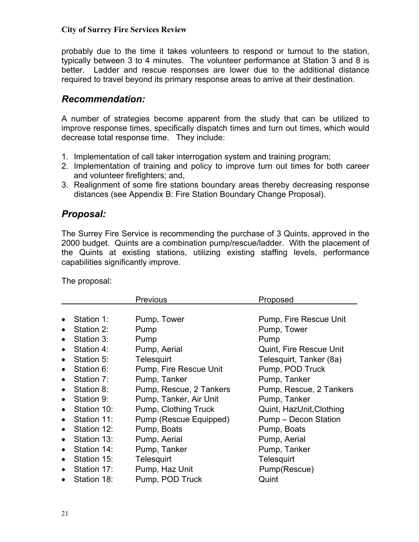probably due to the time it takes volunteers to respond or turnout to the station, typically between 3 to 4 minutes. The volunteer performance at Station 3 and 8 is better. Ladder and rescue responses are lower due to the additional distance required to travel beyond its primary response areas to arrive at their destination.

#### *Recommendation:*

A number of strategies become apparent from the study that can be utilized to improve response times, specifically dispatch times and turn out times, which would decrease total response time. They include:

- 1. Implementation of call taker interrogation system and training program;
- 2. Implementation of training and policy to improve turn out times for both career and volunteer firefighters; and,
- 3. Realignment of some fire stations boundary areas thereby decreasing response distances (see Appendix B: Fire Station Boundary Change Proposal).

# *Proposal:*

The Surrey Fire Service is recommending the purchase of 3 Quints, approved in the 2000 budget. Quints are a combination pump/rescue/ladder. With the placement of the Quints at existing stations, utilizing existing staffing levels, performance capabilities significantly improve.

The proposal:

|           |             | <b>Previous</b>         | Proposed                 |
|-----------|-------------|-------------------------|--------------------------|
|           |             |                         |                          |
|           | Station 1:  | Pump, Tower             | Pump, Fire Rescue Unit   |
|           | Station 2:  | Pump                    | Pump, Tower              |
|           | Station 3:  | Pump                    | Pump                     |
|           | Station 4:  | Pump, Aerial            | Quint, Fire Rescue Unit  |
|           | Station 5:  | Telesquirt              | Telesquirt, Tanker (8a)  |
|           | Station 6:  | Pump, Fire Rescue Unit  | Pump, POD Truck          |
|           | Station 7:  | Pump, Tanker            | Pump, Tanker             |
|           | Station 8:  | Pump, Rescue, 2 Tankers | Pump, Rescue, 2 Tankers  |
| $\bullet$ | Station 9:  | Pump, Tanker, Air Unit  | Pump, Tanker             |
|           | Station 10: | Pump, Clothing Truck    | Quint, HazUnit, Clothing |
| $\bullet$ | Station 11: | Pump (Rescue Equipped)  | Pump - Decon Station     |
| $\bullet$ | Station 12: | Pump, Boats             | Pump, Boats              |
| $\bullet$ | Station 13: | Pump, Aerial            | Pump, Aerial             |
| $\bullet$ | Station 14: | Pump, Tanker            | Pump, Tanker             |
| $\bullet$ | Station 15: | Telesquirt              | Telesquirt               |
| $\bullet$ | Station 17: | Pump, Haz Unit          | Pump(Rescue)             |
| $\bullet$ | Station 18: | Pump, POD Truck         | Quint                    |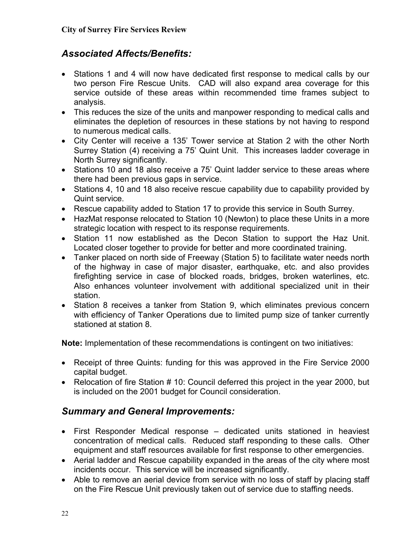# *Associated Affects/Benefits:*

- Stations 1 and 4 will now have dedicated first response to medical calls by our two person Fire Rescue Units. CAD will also expand area coverage for this service outside of these areas within recommended time frames subject to analysis.
- This reduces the size of the units and manpower responding to medical calls and eliminates the depletion of resources in these stations by not having to respond to numerous medical calls.
- City Center will receive a 135' Tower service at Station 2 with the other North Surrey Station (4) receiving a 75' Quint Unit. This increases ladder coverage in North Surrey significantly.
- Stations 10 and 18 also receive a 75' Quint ladder service to these areas where there had been previous gaps in service.
- Stations 4, 10 and 18 also receive rescue capability due to capability provided by Quint service.
- Rescue capability added to Station 17 to provide this service in South Surrey.
- HazMat response relocated to Station 10 (Newton) to place these Units in a more strategic location with respect to its response requirements.
- Station 11 now established as the Decon Station to support the Haz Unit. Located closer together to provide for better and more coordinated training.
- Tanker placed on north side of Freeway (Station 5) to facilitate water needs north of the highway in case of major disaster, earthquake, etc. and also provides firefighting service in case of blocked roads, bridges, broken waterlines, etc. Also enhances volunteer involvement with additional specialized unit in their station.
- Station 8 receives a tanker from Station 9, which eliminates previous concern with efficiency of Tanker Operations due to limited pump size of tanker currently stationed at station 8.

**Note:** Implementation of these recommendations is contingent on two initiatives:

- Receipt of three Quints: funding for this was approved in the Fire Service 2000 capital budget.
- Relocation of fire Station # 10: Council deferred this project in the year 2000, but is included on the 2001 budget for Council consideration.

# *Summary and General Improvements:*

- First Responder Medical response dedicated units stationed in heaviest concentration of medical calls. Reduced staff responding to these calls. Other equipment and staff resources available for first response to other emergencies.
- Aerial ladder and Rescue capability expanded in the areas of the city where most incidents occur. This service will be increased significantly.
- Able to remove an aerial device from service with no loss of staff by placing staff on the Fire Rescue Unit previously taken out of service due to staffing needs.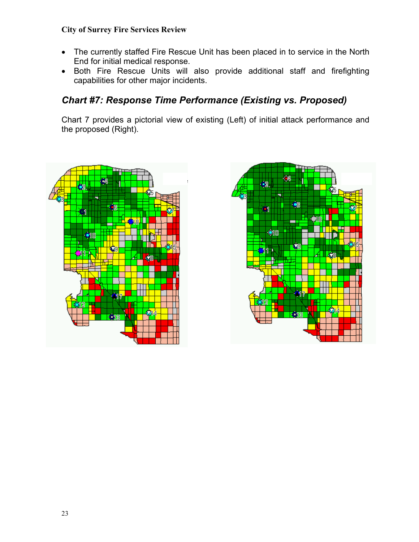- The currently staffed Fire Rescue Unit has been placed in to service in the North End for initial medical response.
- Both Fire Rescue Units will also provide additional staff and firefighting capabilities for other major incidents.

# *Chart #7: Response Time Performance (Existing vs. Proposed)*

Chart 7 provides a pictorial view of existing (Left) of initial attack performance and the proposed (Right).



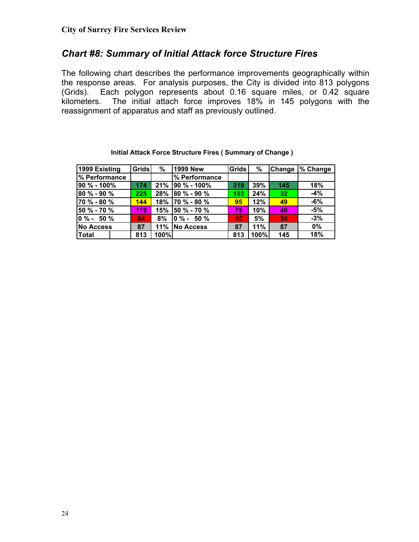#### *Chart #8: Summary of Initial Attack force Structure Fires*

The following chart describes the performance improvements geographically within the response areas. For analysis purposes, the City is divided into 813 polygons (Grids). Each polygon represents about 0.16 square miles, or 0.42 square kilometers. The initial attach force improves 18% in 145 polygons with the reassignment of apparatus and staff as previously outlined.

| 1999 Existing    | Grids | %    | <b>1999 New</b>  | Grids | %    |     | Change  % Change |
|------------------|-------|------|------------------|-------|------|-----|------------------|
| % Performance    |       |      | % Performance    |       |      |     |                  |
| 90 % - 100%      | 174   | 21%  | 90 % - 100%      | 319   | 39%  | 145 | 18%              |
| 80 % - 90 %      | 225   | 28%  | $80 \% - 90 \%$  | 193   | 24%  | 32  | $-4%$            |
| 70 % - 80 %      | 144   | 18%  | $170 \% - 80 \%$ | 95    | 12%  | 49  | $-6%$            |
| 50 % - 70 %      | 119   | 15%  | 50 % - 70 %      | 79'   | 10%  | 40  | -5%              |
| $10 \% - 50 \%$  | 64    | 8%   | $10 \% - 50 \%$  | 40    | 5%   | 24  | $-3%$            |
| <b>No Access</b> | 87    | 11%  | <b>No Access</b> | 87    | 11%  | 87  | 0%               |
| <b>Total</b>     | 813   | 100% |                  | 813   | 100% | 145 | 18%              |

#### **Initial Attack Force Structure Fires ( Summary of Change )**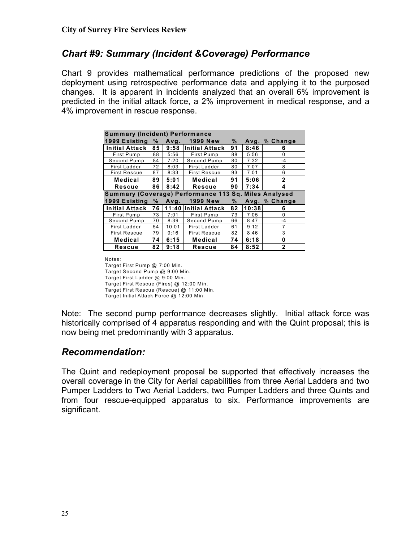# *Chart #9: Summary (Incident &Coverage) Performance*

Chart 9 provides mathematical performance predictions of the proposed new deployment using retrospective performance data and applying it to the purposed changes. It is apparent in incidents analyzed that an overall 6% improvement is predicted in the initial attack force, a 2% improvement in medical response, and a 4% improvement in rescue response.

| <b>Summary (Incident) Performance</b>                 |    |       |                      |    |       |                |  |  |  |  |  |
|-------------------------------------------------------|----|-------|----------------------|----|-------|----------------|--|--|--|--|--|
| 1999 Existing                                         | %  | Avg.  | <b>1999 New</b>      | ℅  |       | Avg. % Change  |  |  |  |  |  |
| Initial Attack                                        | 85 | 9:58  | lInitial Attackl     | 91 | 8:46  | 6              |  |  |  |  |  |
| First Pump                                            | 88 | 5:56  | First Pump           | 88 | 5:56  | 0              |  |  |  |  |  |
| Second Pump                                           | 84 | 7:20  | Second Pump          | 80 | 7:32  | $-4$           |  |  |  |  |  |
| First Ladder                                          | 72 | 8:03  | First Ladder         | 80 | 7:07  | 8              |  |  |  |  |  |
| <b>First Rescue</b>                                   | 87 | 8:33  | <b>First Rescue</b>  | 93 | 7:01  | 6              |  |  |  |  |  |
| Medical                                               | 89 | 5:01  | <b>Medical</b>       | 91 | 5:06  | $\mathbf{2}$   |  |  |  |  |  |
| Rescue                                                | 86 | 90    | 7:34                 | 4  |       |                |  |  |  |  |  |
| Summary (Coverage) Performance 113 Sq. Miles Analysed |    |       |                      |    |       |                |  |  |  |  |  |
| 1999 Existing                                         | %  | Avg.  | <b>1999 New</b>      | ℅  |       | Avg. % Change  |  |  |  |  |  |
| <b>Initial Attack</b>                                 | 76 |       | 11:40 Initial Attack | 82 | 10:38 | 6              |  |  |  |  |  |
| First Pump                                            | 73 | 7:01  | First Pump           | 73 | 7:05  | $\Omega$       |  |  |  |  |  |
| Second Pump                                           | 70 | 8:39  | Second Pump          | 66 | 8:47  | $-4$           |  |  |  |  |  |
| First Ladder                                          | 54 | 10:01 | First Ladder         | 61 | 9:12  | 7              |  |  |  |  |  |
| <b>First Rescue</b>                                   | 79 | 9:16  | <b>First Rescue</b>  | 82 | 8:46  | 3              |  |  |  |  |  |
| Medical                                               | 74 | 6:15  | <b>Medical</b>       | 74 | 6:18  | 0              |  |  |  |  |  |
| Rescue                                                | 82 | 9:18  | <b>Rescue</b>        | 84 | 8:52  | $\overline{2}$ |  |  |  |  |  |

Notes:

Target First Pump @ 7:00 Min. Target Second Pump @ 9:00 Min. Target First Ladder @ 9:00 Min. Target First Rescue (Fires) @ 12:00 Min. Target First Rescue (Rescue) @ 11:00 Min. Target Initial Attack Force @ 12:00 Min.

Note: The second pump performance decreases slightly. Initial attack force was historically comprised of 4 apparatus responding and with the Quint proposal; this is now being met predominantly with 3 apparatus.

# *Recommendation:*

The Quint and redeployment proposal be supported that effectively increases the overall coverage in the City for Aerial capabilities from three Aerial Ladders and two Pumper Ladders to Two Aerial Ladders, two Pumper Ladders and three Quints and from four rescue-equipped apparatus to six. Performance improvements are significant.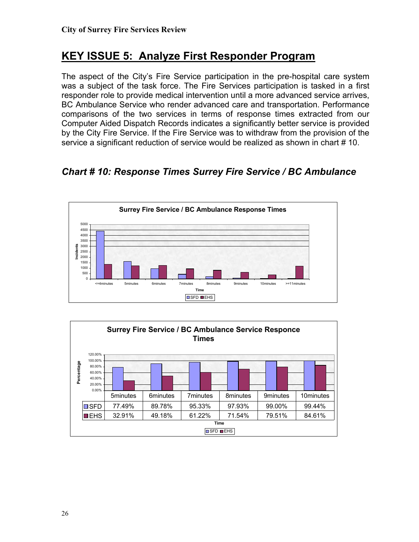# **KEY ISSUE 5: Analyze First Responder Program**

The aspect of the City's Fire Service participation in the pre-hospital care system was a subject of the task force. The Fire Services participation is tasked in a first responder role to provide medical intervention until a more advanced service arrives, BC Ambulance Service who render advanced care and transportation. Performance comparisons of the two services in terms of response times extracted from our Computer Aided Dispatch Records indicates a significantly better service is provided by the City Fire Service. If the Fire Service was to withdraw from the provision of the service a significant reduction of service would be realized as shown in chart #10.

*Chart # 10: Response Times Surrey Fire Service / BC Ambulance* 



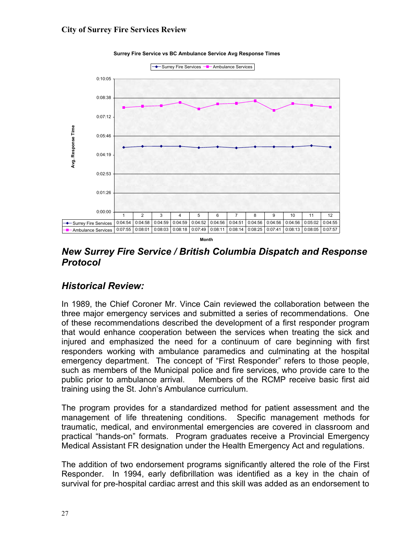

**Surrey Fire Service vs BC Ambulance Service Avg Response Times**

*New Surrey Fire Service / British Columbia Dispatch and Response Protocol*

#### *Historical Review:*

In 1989, the Chief Coroner Mr. Vince Cain reviewed the collaboration between the three major emergency services and submitted a series of recommendations. One of these recommendations described the development of a first responder program that would enhance cooperation between the services when treating the sick and injured and emphasized the need for a continuum of care beginning with first responders working with ambulance paramedics and culminating at the hospital emergency department. The concept of "First Responder" refers to those people, such as members of the Municipal police and fire services, who provide care to the public prior to ambulance arrival. Members of the RCMP receive basic first aid training using the St. John's Ambulance curriculum.

The program provides for a standardized method for patient assessment and the management of life threatening conditions. Specific management methods for traumatic, medical, and environmental emergencies are covered in classroom and practical "hands-on" formats. Program graduates receive a Provincial Emergency Medical Assistant FR designation under the Health Emergency Act and regulations.

The addition of two endorsement programs significantly altered the role of the First Responder. In 1994, early defibrillation was identified as a key in the chain of survival for pre-hospital cardiac arrest and this skill was added as an endorsement to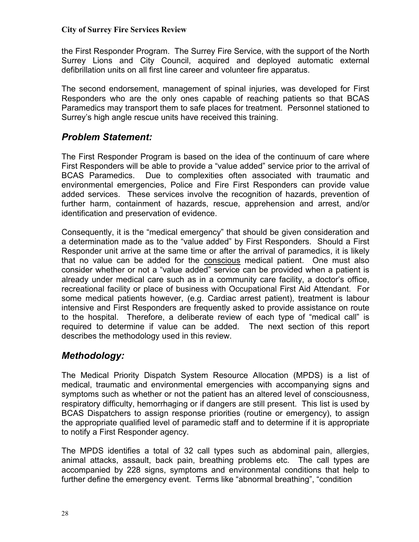the First Responder Program. The Surrey Fire Service, with the support of the North Surrey Lions and City Council, acquired and deployed automatic external defibrillation units on all first line career and volunteer fire apparatus.

The second endorsement, management of spinal injuries, was developed for First Responders who are the only ones capable of reaching patients so that BCAS Paramedics may transport them to safe places for treatment. Personnel stationed to Surrey's high angle rescue units have received this training.

#### *Problem Statement:*

The First Responder Program is based on the idea of the continuum of care where First Responders will be able to provide a "value added" service prior to the arrival of BCAS Paramedics. Due to complexities often associated with traumatic and environmental emergencies, Police and Fire First Responders can provide value added services. These services involve the recognition of hazards, prevention of further harm, containment of hazards, rescue, apprehension and arrest, and/or identification and preservation of evidence.

Consequently, it is the "medical emergency" that should be given consideration and a determination made as to the "value added" by First Responders. Should a First Responder unit arrive at the same time or after the arrival of paramedics, it is likely that no value can be added for the conscious medical patient. One must also consider whether or not a "value added" service can be provided when a patient is already under medical care such as in a community care facility, a doctor's office, recreational facility or place of business with Occupational First Aid Attendant. For some medical patients however, (e.g. Cardiac arrest patient), treatment is labour intensive and First Responders are frequently asked to provide assistance on route to the hospital. Therefore, a deliberate review of each type of "medical call" is required to determine if value can be added. The next section of this report describes the methodology used in this review.

#### *Methodology:*

The Medical Priority Dispatch System Resource Allocation (MPDS) is a list of medical, traumatic and environmental emergencies with accompanying signs and symptoms such as whether or not the patient has an altered level of consciousness, respiratory difficulty, hemorrhaging or if dangers are still present. This list is used by BCAS Dispatchers to assign response priorities (routine or emergency), to assign the appropriate qualified level of paramedic staff and to determine if it is appropriate to notify a First Responder agency.

The MPDS identifies a total of 32 call types such as abdominal pain, allergies, animal attacks, assault, back pain, breathing problems etc. The call types are accompanied by 228 signs, symptoms and environmental conditions that help to further define the emergency event. Terms like "abnormal breathing", "condition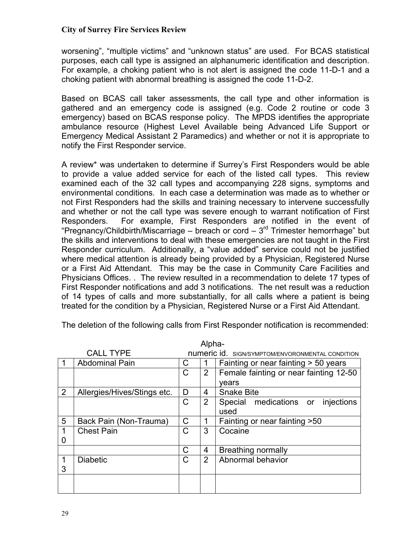worsening", "multiple victims" and "unknown status" are used. For BCAS statistical purposes, each call type is assigned an alphanumeric identification and description. For example, a choking patient who is not alert is assigned the code 11-D-1 and a choking patient with abnormal breathing is assigned the code 11-D-2.

Based on BCAS call taker assessments, the call type and other information is gathered and an emergency code is assigned (e.g. Code 2 routine or code 3 emergency) based on BCAS response policy. The MPDS identifies the appropriate ambulance resource (Highest Level Available being Advanced Life Support or Emergency Medical Assistant 2 Paramedics) and whether or not it is appropriate to notify the First Responder service.

A review\* was undertaken to determine if Surrey's First Responders would be able to provide a value added service for each of the listed call types. This review examined each of the 32 call types and accompanying 228 signs, symptoms and environmental conditions. In each case a determination was made as to whether or not First Responders had the skills and training necessary to intervene successfully and whether or not the call type was severe enough to warrant notification of First Responders. For example, First Responders are notified in the event of "Pregnancy/Childbirth/Miscarriage – breach or cord –  $3<sup>rd</sup>$  Trimester hemorrhage" but the skills and interventions to deal with these emergencies are not taught in the First Responder curriculum. Additionally, a "value added" service could not be justified where medical attention is already being provided by a Physician, Registered Nurse or a First Aid Attendant. This may be the case in Community Care Facilities and Physicians Offices. . The review resulted in a recommendation to delete 17 types of First Responder notifications and add 3 notifications. The net result was a reduction of 14 types of calls and more substantially, for all calls where a patient is being treated for the condition by a Physician, Registered Nurse or a First Aid Attendant.

|                | Alpha-                      |             |                |                                                         |  |  |  |  |  |  |  |
|----------------|-----------------------------|-------------|----------------|---------------------------------------------------------|--|--|--|--|--|--|--|
|                | <b>CALL TYPE</b>            |             |                | <b>numeric id.</b> SIGN/SYMPTOM/ENVORONMENTAL CONDITION |  |  |  |  |  |  |  |
|                | <b>Abdominal Pain</b>       | C           |                | Fainting or near fainting > 50 years                    |  |  |  |  |  |  |  |
|                |                             | $\mathsf C$ | $\overline{2}$ | Female fainting or near fainting 12-50                  |  |  |  |  |  |  |  |
|                |                             |             |                | vears                                                   |  |  |  |  |  |  |  |
| $\overline{2}$ | Allergies/Hives/Stings etc. | D           | 4              | <b>Snake Bite</b>                                       |  |  |  |  |  |  |  |
|                |                             | C           | $\overline{2}$ | Special medications or injections                       |  |  |  |  |  |  |  |
|                |                             |             |                | used                                                    |  |  |  |  |  |  |  |
| 5              | Back Pain (Non-Trauma)      | C           |                | Fainting or near fainting > 50                          |  |  |  |  |  |  |  |
| $\mathbf 1$    | <b>Chest Pain</b>           | C           | 3              | Cocaine                                                 |  |  |  |  |  |  |  |
| 0              |                             |             |                |                                                         |  |  |  |  |  |  |  |
|                |                             | C           | 4              | Breathing normally                                      |  |  |  |  |  |  |  |
| 1              | <b>Diabetic</b>             | C           | 2              | Abnormal behavior                                       |  |  |  |  |  |  |  |
| 3              |                             |             |                |                                                         |  |  |  |  |  |  |  |
|                |                             |             |                |                                                         |  |  |  |  |  |  |  |
|                |                             |             |                |                                                         |  |  |  |  |  |  |  |

The deletion of the following calls from First Responder notification is recommended: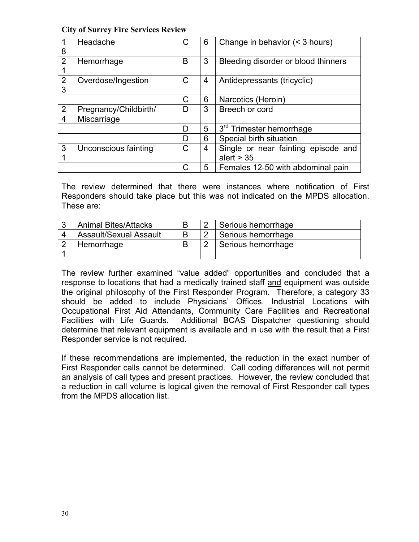| 8                   | Headache              | С | 6 | Change in behavior (< 3 hours)       |
|---------------------|-----------------------|---|---|--------------------------------------|
| $\overline{2}$      | Hemorrhage            | B | 3 | Bleeding disorder or blood thinners  |
| $\overline{2}$<br>3 | Overdose/Ingestion    | C | 4 | Antidepressants (tricyclic)          |
|                     |                       | C | 6 | Narcotics (Heroin)                   |
| 2                   | Pregnancy/Childbirth/ | D | 3 | Breech or cord                       |
| 4                   | Miscarriage           |   |   |                                      |
|                     |                       | D | 5 | 3 <sup>rd</sup> Trimester hemorrhage |
|                     |                       | D | 6 | Special birth situation              |
| 3                   | Unconscious fainting  | C | 4 | Single or near fainting episode and  |
|                     |                       |   |   | alert $> 35$                         |
|                     |                       | C | 5 | Females 12-50 with abdominal pain    |

The review determined that there were instances where notification of First Responders should take place but this was not indicated on the MPDS allocation. These are:

| <b>Animal Bites/Attacks</b> |  | Serious hemorrhage |
|-----------------------------|--|--------------------|
| Assault/Sexual Assault      |  | Serious hemorrhage |
| Hemorrhage                  |  | Serious hemorrhage |

The review further examined "value added" opportunities and concluded that a response to locations that had a medically trained staff and equipment was outside the original philosophy of the First Responder Program. Therefore, a category 33 should be added to include Physicians' Offices, Industrial Locations with Occupational First Aid Attendants, Community Care Facilities and Recreational Facilities with Life Guards. Additional BCAS Dispatcher questioning should determine that relevant equipment is available and in use with the result that a First Responder service is not required.

If these recommendations are implemented, the reduction in the exact number of First Responder calls cannot be determined. Call coding differences will not permit an analysis of call types and present practices. However, the review concluded that a reduction in call volume is logical given the removal of First Responder call types from the MPDS allocation list.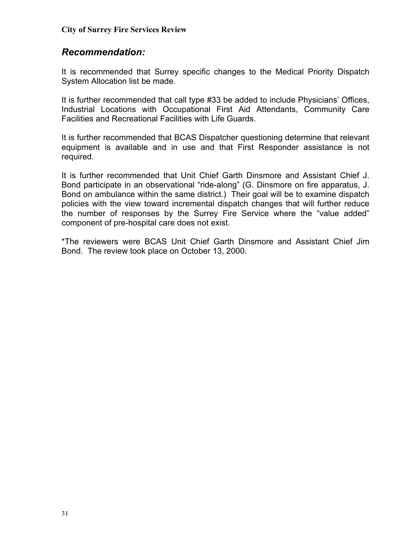#### *Recommendation:*

It is recommended that Surrey specific changes to the Medical Priority Dispatch System Allocation list be made.

It is further recommended that call type #33 be added to include Physicians' Offices, Industrial Locations with Occupational First Aid Attendants, Community Care Facilities and Recreational Facilities with Life Guards.

It is further recommended that BCAS Dispatcher questioning determine that relevant equipment is available and in use and that First Responder assistance is not required.

It is further recommended that Unit Chief Garth Dinsmore and Assistant Chief J. Bond participate in an observational "ride-along" (G. Dinsmore on fire apparatus, J. Bond on ambulance within the same district.) Their goal will be to examine dispatch policies with the view toward incremental dispatch changes that will further reduce the number of responses by the Surrey Fire Service where the "value added" component of pre-hospital care does not exist.

\*The reviewers were BCAS Unit Chief Garth Dinsmore and Assistant Chief Jim Bond. The review took place on October 13, 2000.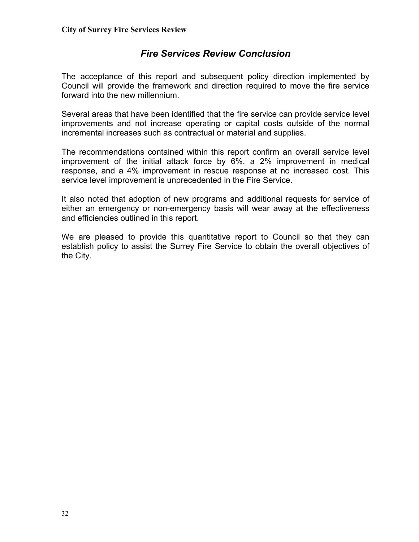# *Fire Services Review Conclusion*

The acceptance of this report and subsequent policy direction implemented by Council will provide the framework and direction required to move the fire service forward into the new millennium.

Several areas that have been identified that the fire service can provide service level improvements and not increase operating or capital costs outside of the normal incremental increases such as contractual or material and supplies.

The recommendations contained within this report confirm an overall service level improvement of the initial attack force by 6%, a 2% improvement in medical response, and a 4% improvement in rescue response at no increased cost. This service level improvement is unprecedented in the Fire Service.

It also noted that adoption of new programs and additional requests for service of either an emergency or non-emergency basis will wear away at the effectiveness and efficiencies outlined in this report.

We are pleased to provide this quantitative report to Council so that they can establish policy to assist the Surrey Fire Service to obtain the overall objectives of the City.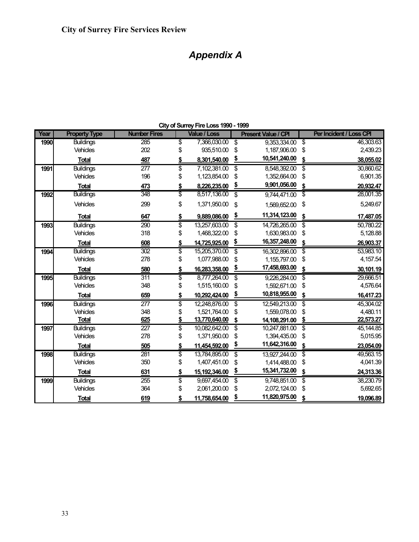# *Appendix A*

| Year | <b>Property Type</b> | <b>Number Fires</b> | <b>Value / Loss</b>   |                                      | <b>Present Value / CPI</b> |                                  | Per Incident / Loss CPI |
|------|----------------------|---------------------|-----------------------|--------------------------------------|----------------------------|----------------------------------|-------------------------|
| 1990 | <b>Buildings</b>     | 285                 | \$<br>7,366,030.00    | $\overline{\mathbf{e}}$              | 9,353,334.00               | $\overline{\boldsymbol{\theta}}$ | 46,303.63               |
|      | <b>Vehicles</b>      | 202                 | \$<br>935,510.00      | \$                                   | 1,187,906.00               | \$                               | 2,439.23                |
|      | <b>Total</b>         | 487                 | \$<br>8,301,540.00    | <u>\$</u>                            | 10,541,240.00              | \$                               | 38,055.02               |
| 1991 | <b>Buildings</b>     | 277                 | \$<br>7,102,381.00    | \$                                   | 8,548,392.00               | \$                               | 30,860.62               |
|      | <b>Vehicles</b>      | 196                 | \$<br>1,123,854.00    | \$                                   | 1,352,664.00               | \$                               | 6,901.35                |
|      | <b>Total</b>         | 473                 | \$<br>8,226,235.00    | \$                                   | 9,901,056.00               | \$                               | 20,932.47               |
| 1992 | <b>Buildings</b>     | 348                 | \$<br>8,517,136.00    | \$                                   | 9,744,471.00               | \$                               | 28,001.35               |
|      | Vehicles             | 299                 | \$<br>1,371,950.00    | \$                                   | 1,569,652.00               | \$                               | 5,249.67                |
|      | <b>Total</b>         | 647                 | \$<br>9,889,086.00    | <u>\$</u>                            | 11,314,123.00              | \$                               | 17,487.05               |
| 1993 | <b>Buildings</b>     | 290                 | \$<br>13,257,603.00   | \$                                   | 14,726,265.00              | $\overline{\boldsymbol{\theta}}$ | 50,780.22               |
|      | Vehicles             | 318                 | \$<br>1,468,322.00    | \$                                   | 1,630,983.00               | \$                               | 5,128.88                |
|      | <b>Total</b>         | 608                 | \$<br>14,725,925.00   | \$                                   | 16,357,248.00              | \$                               | 26,903.37               |
| 1994 | <b>Buildings</b>     | 302                 | \$<br>15,205,370.00   | $\overline{\boldsymbol{\mathsf{s}}}$ | 16,302,896.00              | \$                               | 53,983.10               |
|      | Vehicles             | 278                 | \$<br>1,077,988.00    | \$                                   | 1,155,797.00               | \$                               | 4,157.54                |
|      | <b>Total</b>         | 580                 | \$<br>16,283,358.00   | <u>\$</u>                            | 17,458,693.00              | \$                               | 30,101.19               |
| 1995 | <b>Buildings</b>     | 311                 | \$<br>8,777,264.00    | $\overline{\$}$                      | 9,226,284.00               | $\overline{\boldsymbol{\theta}}$ | 29,666.51               |
|      | Vehicles             | 348                 | \$<br>1,515,160.00    | \$                                   | 1,592,671.00               | \$                               | 4,576.64                |
|      | <b>Total</b>         | 659                 | \$<br>10,292,424.00   | \$                                   | 10,818,955.00              | \$                               | 16,417.23               |
| 1996 | <b>Buildings</b>     | 277                 | \$<br>12,248,876.00   | $\overline{\boldsymbol{\mathsf{s}}}$ | 12,549,213.00              | $\overline{\boldsymbol{\theta}}$ | 45,304.02               |
|      | <b>Vehicles</b>      | 348                 | \$<br>1,521,764.00    | \$                                   | 1,559,078.00               | \$                               | 4,480.11                |
|      | <b>Total</b>         | 625                 | \$<br>13,770,640.00   | \$                                   | 14,108,291.00              | \$                               | 22,573.27               |
| 1997 | <b>Buildings</b>     | 227                 | \$<br>10,082,642.00   | $\overline{\boldsymbol{\mathsf{s}}}$ | 10,247,881.00              | $\overline{\boldsymbol{\theta}}$ | 45, 144.85              |
|      | <b>Vehicles</b>      | 278                 | \$<br>1,371,950.00    | \$                                   | 1,394,435.00               | \$                               | 5,015.95                |
|      | <b>Total</b>         | 505                 | \$<br>11,454,592.00   | \$                                   | 11,642,316.00              | \$                               | 23,054.09               |
| 1998 | <b>Buildings</b>     | 281                 | \$<br>13,784,895.00   | $\overline{\boldsymbol{\mathsf{s}}}$ | 13,927,244.00              | $\overline{\boldsymbol{\theta}}$ | 49,563.15               |
|      | <b>Vehicles</b>      | 350                 | \$<br>1,407,451.00    | \$                                   | 1,414,488.00               | \$                               | 4,041.39                |
|      | <b>Total</b>         | 631                 | \$<br>15, 192, 346.00 | \$                                   | 15,341,732.00              | \$                               | 24,313.36               |
| 1999 | <b>Buildings</b>     | 255                 | \$<br>9,697,454.00    | $\overline{\$}$                      | 9,748,851.00               | \$                               | 38,230.79               |
|      | Vehicles             | 364                 | \$<br>2,061,200.00    | \$                                   | 2,072,124.00               | \$                               | 5,692.65                |
|      | <b>Total</b>         | 619                 | \$<br>11,758,654.00   | \$                                   | 11,820,975.00              | \$                               | 19,096.89               |

**City of Surrey Fire Loss 1990 - 1999**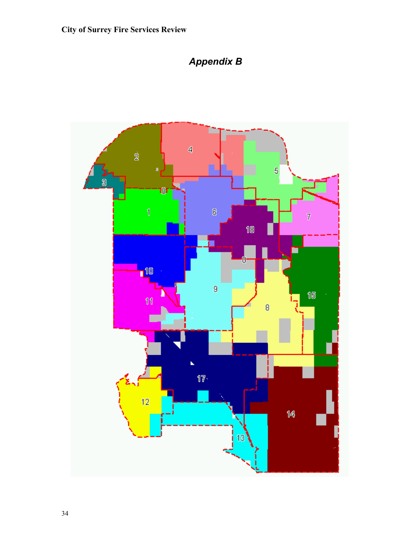

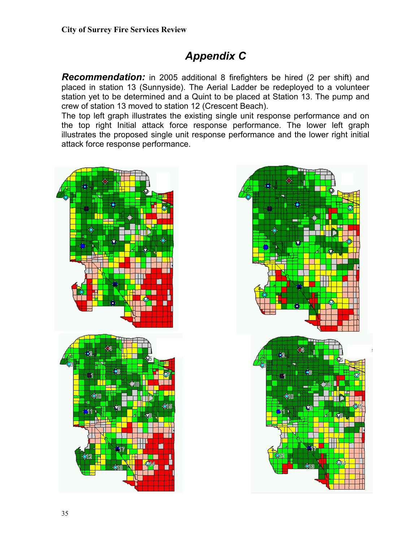# *Appendix C*

*Recommendation:* in 2005 additional 8 firefighters be hired (2 per shift) and placed in station 13 (Sunnyside). The Aerial Ladder be redeployed to a volunteer station yet to be determined and a Quint to be placed at Station 13. The pump and crew of station 13 moved to station 12 (Crescent Beach).

The top left graph illustrates the existing single unit response performance and on the top right Initial attack force response performance. The lower left graph illustrates the proposed single unit response performance and the lower right initial attack force response performance.



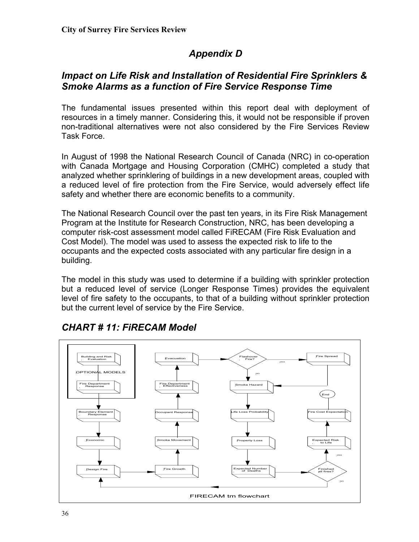# *Appendix D*

# *Impact on Life Risk and Installation of Residential Fire Sprinklers & Smoke Alarms as a function of Fire Service Response Time*

The fundamental issues presented within this report deal with deployment of resources in a timely manner. Considering this, it would not be responsible if proven non-traditional alternatives were not also considered by the Fire Services Review Task Force.

In August of 1998 the National Research Council of Canada (NRC) in co-operation with Canada Mortgage and Housing Corporation (CMHC) completed a study that analyzed whether sprinklering of buildings in a new development areas, coupled with a reduced level of fire protection from the Fire Service, would adversely effect life safety and whether there are economic benefits to a community.

The National Research Council over the past ten years, in its Fire Risk Management Program at the Institute for Research Construction, NRC, has been developing a computer risk-cost assessment model called FiRECAM (Fire Risk Evaluation and Cost Model). The model was used to assess the expected risk to life to the occupants and the expected costs associated with any particular fire design in a building.

The model in this study was used to determine if a building with sprinkler protection but a reduced level of service (Longer Response Times) provides the equivalent level of fire safety to the occupants, to that of a building without sprinkler protection but the current level of service by the Fire Service.



# *CHART # 11: FiRECAM Model*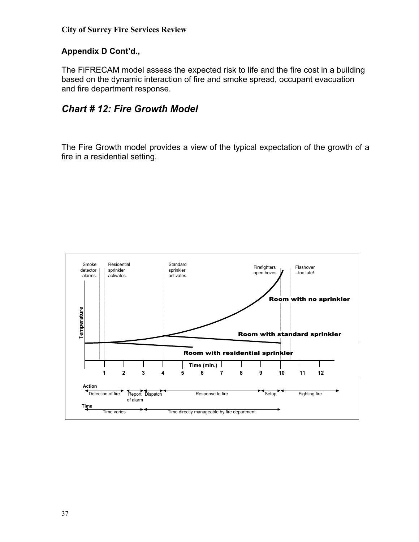#### **Appendix D Cont'd.,**

The FiFRECAM model assess the expected risk to life and the fire cost in a building based on the dynamic interaction of fire and smoke spread, occupant evacuation and fire department response.

#### *Chart # 12: Fire Growth Model*

The Fire Growth model provides a view of the typical expectation of the growth of a fire in a residential setting.

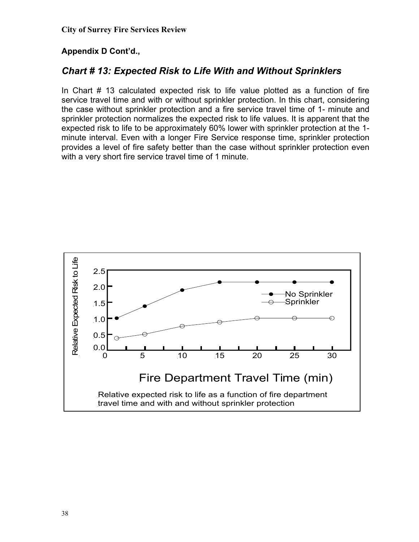#### **Appendix D Cont'd.,**

# *Chart # 13: Expected Risk to Life With and Without Sprinklers*

In Chart # 13 calculated expected risk to life value plotted as a function of fire service travel time and with or without sprinkler protection. In this chart, considering the case without sprinkler protection and a fire service travel time of 1- minute and sprinkler protection normalizes the expected risk to life values. It is apparent that the expected risk to life to be approximately 60% lower with sprinkler protection at the 1 minute interval. Even with a longer Fire Service response time, sprinkler protection provides a level of fire safety better than the case without sprinkler protection even with a very short fire service travel time of 1 minute.

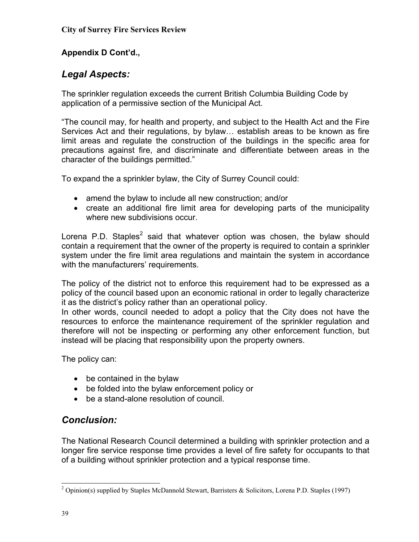## **Appendix D Cont'd.,**

# *Legal Aspects:*

The sprinkler regulation exceeds the current British Columbia Building Code by application of a permissive section of the Municipal Act.

"The council may, for health and property, and subject to the Health Act and the Fire Services Act and their regulations, by bylaw… establish areas to be known as fire limit areas and regulate the construction of the buildings in the specific area for precautions against fire, and discriminate and differentiate between areas in the character of the buildings permitted."

To expand the a sprinkler bylaw, the City of Surrey Council could:

- amend the bylaw to include all new construction; and/or
- create an additional fire limit area for developing parts of the municipality where new subdivisions occur.

Lorena P.D. Staples<sup>[2](#page-38-0)</sup> said that whatever option was chosen, the bylaw should contain a requirement that the owner of the property is required to contain a sprinkler system under the fire limit area regulations and maintain the system in accordance with the manufacturers' requirements.

The policy of the district not to enforce this requirement had to be expressed as a policy of the council based upon an economic rational in order to legally characterize it as the district's policy rather than an operational policy.

In other words, council needed to adopt a policy that the City does not have the resources to enforce the maintenance requirement of the sprinkler regulation and therefore will not be inspecting or performing any other enforcement function, but instead will be placing that responsibility upon the property owners.

The policy can:

- be contained in the bylaw
- be folded into the bylaw enforcement policy or
- be a stand-alone resolution of council.

# *Conclusion:*

The National Research Council determined a building with sprinkler protection and a longer fire service response time provides a level of fire safety for occupants to that of a building without sprinkler protection and a typical response time.

<span id="page-38-0"></span><sup>&</sup>lt;sup>2</sup> <sup>2</sup> Opinion(s) supplied by Staples McDannold Stewart, Barristers & Solicitors, Lorena P.D. Staples (1997)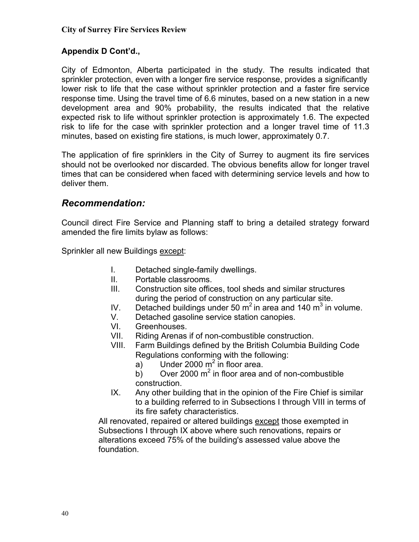#### **Appendix D Cont'd.,**

City of Edmonton, Alberta participated in the study. The results indicated that sprinkler protection, even with a longer fire service response, provides a significantly lower risk to life that the case without sprinkler protection and a faster fire service response time. Using the travel time of 6.6 minutes, based on a new station in a new development area and 90% probability, the results indicated that the relative expected risk to life without sprinkler protection is approximately 1.6. The expected risk to life for the case with sprinkler protection and a longer travel time of 11.3 minutes, based on existing fire stations, is much lower, approximately 0.7.

The application of fire sprinklers in the City of Surrey to augment its fire services should not be overlooked nor discarded. The obvious benefits allow for longer travel times that can be considered when faced with determining service levels and how to deliver them.

#### *Recommendation:*

Council direct Fire Service and Planning staff to bring a detailed strategy forward amended the fire limits bylaw as follows:

Sprinkler all new Buildings except:

- I. Detached single-family dwellings.
- II. Portable classrooms.
- III. Construction site offices, tool sheds and similar structures during the period of construction on any particular site.
- IV. Detached buildings under 50  $m^2$  in area and 140  $m^3$  in volume.
- V. Detached gasoline service station canopies.
- VI. Greenhouses.
- VII. Riding Arenas if of non-combustible construction.
- VIII. Farm Buildings defined by the British Columbia Building Code Regulations conforming with the following:
	- a) Under 2000  $m^2$  in floor area.
	- b) Over 2000  $m^2$  in floor area and of non-combustible construction.
- IX. Any other building that in the opinion of the Fire Chief is similar to a building referred to in Subsections I through VIII in terms of its fire safety characteristics.

All renovated, repaired or altered buildings except those exempted in Subsections I through IX above where such renovations, repairs or alterations exceed 75% of the building's assessed value above the foundation.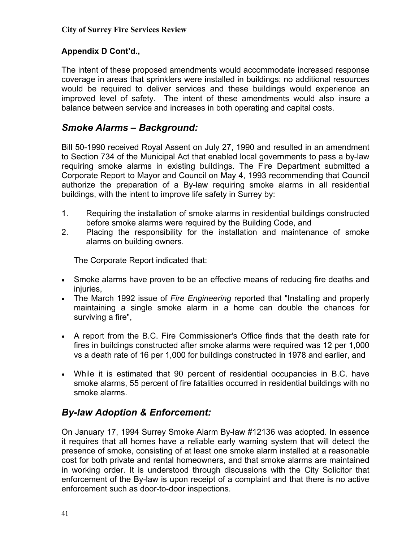#### **Appendix D Cont'd.,**

The intent of these proposed amendments would accommodate increased response coverage in areas that sprinklers were installed in buildings; no additional resources would be required to deliver services and these buildings would experience an improved level of safety. The intent of these amendments would also insure a balance between service and increases in both operating and capital costs.

## *Smoke Alarms – Background:*

Bill 50-1990 received Royal Assent on July 27, 1990 and resulted in an amendment to Section 734 of the Municipal Act that enabled local governments to pass a by-law requiring smoke alarms in existing buildings. The Fire Department submitted a Corporate Report to Mayor and Council on May 4, 1993 recommending that Council authorize the preparation of a By-law requiring smoke alarms in all residential buildings, with the intent to improve life safety in Surrey by:

- 1. Requiring the installation of smoke alarms in residential buildings constructed before smoke alarms were required by the Building Code, and
- 2. Placing the responsibility for the installation and maintenance of smoke alarms on building owners.

The Corporate Report indicated that:

- Smoke alarms have proven to be an effective means of reducing fire deaths and injuries,
- The March 1992 issue of *Fire Engineering* reported that "Installing and properly maintaining a single smoke alarm in a home can double the chances for surviving a fire",
- A report from the B.C. Fire Commissioner's Office finds that the death rate for fires in buildings constructed after smoke alarms were required was 12 per 1,000 vs a death rate of 16 per 1,000 for buildings constructed in 1978 and earlier, and
- While it is estimated that 90 percent of residential occupancies in B.C. have smoke alarms, 55 percent of fire fatalities occurred in residential buildings with no smoke alarms.

# *By-law Adoption & Enforcement:*

On January 17, 1994 Surrey Smoke Alarm By-law #12136 was adopted. In essence it requires that all homes have a reliable early warning system that will detect the presence of smoke, consisting of at least one smoke alarm installed at a reasonable cost for both private and rental homeowners, and that smoke alarms are maintained in working order. It is understood through discussions with the City Solicitor that enforcement of the By-law is upon receipt of a complaint and that there is no active enforcement such as door-to-door inspections.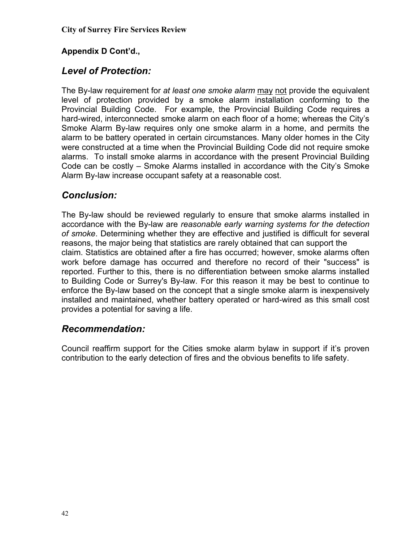#### **Appendix D Cont'd.,**

# *Level of Protection:*

The By-law requirement for *at least one smoke alarm* may not provide the equivalent level of protection provided by a smoke alarm installation conforming to the Provincial Building Code. For example, the Provincial Building Code requires a hard-wired, interconnected smoke alarm on each floor of a home; whereas the City's Smoke Alarm By-law requires only one smoke alarm in a home, and permits the alarm to be battery operated in certain circumstances. Many older homes in the City were constructed at a time when the Provincial Building Code did not require smoke alarms. To install smoke alarms in accordance with the present Provincial Building Code can be costly – Smoke Alarms installed in accordance with the City's Smoke Alarm By-law increase occupant safety at a reasonable cost.

# *Conclusion:*

The By-law should be reviewed regularly to ensure that smoke alarms installed in accordance with the By-law are *reasonable early warning systems for the detection of smoke*. Determining whether they are effective and justified is difficult for several reasons, the major being that statistics are rarely obtained that can support the claim. Statistics are obtained after a fire has occurred; however, smoke alarms often work before damage has occurred and therefore no record of their "success" is reported. Further to this, there is no differentiation between smoke alarms installed to Building Code or Surrey's By-law. For this reason it may be best to continue to enforce the By-law based on the concept that a single smoke alarm is inexpensively installed and maintained, whether battery operated or hard-wired as this small cost provides a potential for saving a life.

#### *Recommendation:*

Council reaffirm support for the Cities smoke alarm bylaw in support if it's proven contribution to the early detection of fires and the obvious benefits to life safety.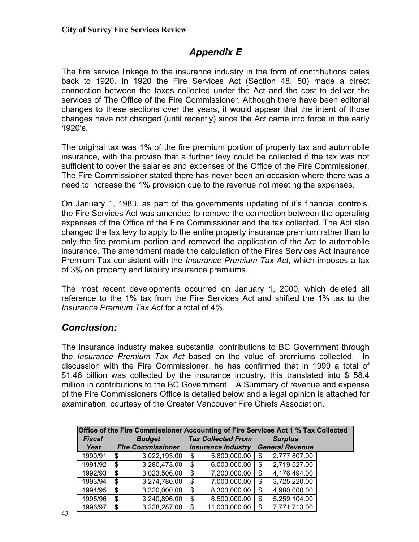# *Appendix E*

The fire service linkage to the insurance industry in the form of contributions dates back to 1920. In 1920 the Fire Services Act (Section 48, 50) made a direct connection between the taxes collected under the Act and the cost to deliver the services of The Office of the Fire Commissioner. Although there have been editorial changes to these sections over the years, it would appear that the intent of those changes have not changed (until recently) since the Act came into force in the early 1920's.

The original tax was 1% of the fire premium portion of property tax and automobile insurance, with the proviso that a further levy could be collected if the tax was not sufficient to cover the salaries and expenses of the Office of the Fire Commissioner. The Fire Commissioner stated there has never been an occasion where there was a need to increase the 1% provision due to the revenue not meeting the expenses.

On January 1, 1983, as part of the governments updating of it's financial controls, the Fire Services Act was amended to remove the connection between the operating expenses of the Office of the Fire Commissioner and the tax collected. The Act also changed the tax levy to apply to the entire property insurance premium rather than to only the fire premium portion and removed the application of the Act to automobile insurance. The amendment made the calculation of the Fires Services Act Insurance Premium Tax consistent with the *Insurance Premium Tax Act*, which imposes a tax of 3% on property and liability insurance premiums.

The most recent developments occurred on January 1, 2000, which deleted all reference to the 1% tax from the Fire Services Act and shifted the 1% tax to the *Insurance Premium Tax Act* for a total of 4%.

# *Conclusion:*

The insurance industry makes substantial contributions to BC Government through the *Insurance Premium Tax Act* based on the value of premiums collected. In discussion with the Fire Commissioner, he has confirmed that in 1999 a total of \$1.46 billion was collected by the insurance industry, this translated into \$ 58.4 million in contributions to the BC Government. A Summary of revenue and expense of the Fire Commissioners Office is detailed below and a legal opinion is attached for examination, courtesy of the Greater Vancouver Fire Chiefs Association.

| Office of the Fire Commissioner Accounting of Fire Services Act 1 % Tax Collected |               |               |                          |    |                           |                |                        |  |  |  |  |  |
|-----------------------------------------------------------------------------------|---------------|---------------|--------------------------|----|---------------------------|----------------|------------------------|--|--|--|--|--|
|                                                                                   | <b>Fiscal</b> | <b>Budget</b> |                          |    | <b>Tax Collected From</b> | <b>Surplus</b> |                        |  |  |  |  |  |
|                                                                                   | Year          |               | <b>Fire Commissioner</b> |    | <b>Insurance Industry</b> |                | <b>General Revenue</b> |  |  |  |  |  |
|                                                                                   | 1990/91       | \$            | 3,022,193.00             | \$ | 5,800,000.00              | \$             | 2,777,807.00           |  |  |  |  |  |
|                                                                                   | 1991/92       | \$            | 3,280,473.00             | \$ | 6,000,000.00              | \$             | 2,719,527.00           |  |  |  |  |  |
|                                                                                   | 1992/93       | \$            | 3,023,506.00             | S  | 7,200,000.00              | \$             | 4,176,494.00           |  |  |  |  |  |
|                                                                                   | 1993/94       | \$            | 3,274,780.00             | \$ | 7,000,000.00              | \$             | 3,725,220.00           |  |  |  |  |  |
|                                                                                   | 1994/95       | \$            | 3,320,000.00             | \$ | 8,300,000.00              | \$             | 4,980,000.00           |  |  |  |  |  |
|                                                                                   | 1995/96       | \$            | 3,240,896.00             | \$ | 8,500,000.00              | \$             | 5,259,104.00           |  |  |  |  |  |
|                                                                                   | 1996/97       | \$            | 3,228,287.00             | \$ | 11,000,000.00             | -S             | 7,771,713.00           |  |  |  |  |  |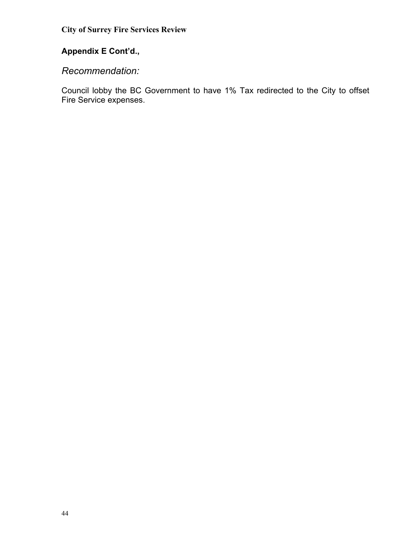# **Appendix E Cont'd.,**

#### *Recommendation:*

Council lobby the BC Government to have 1% Tax redirected to the City to offset Fire Service expenses.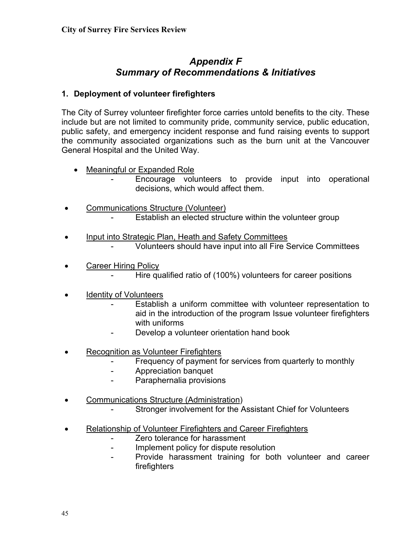# *Appendix F Summary of Recommendations & Initiatives*

#### **1. Deployment of volunteer firefighters**

The City of Surrey volunteer firefighter force carries untold benefits to the city. These include but are not limited to community pride, community service, public education, public safety, and emergency incident response and fund raising events to support the community associated organizations such as the burn unit at the Vancouver General Hospital and the United Way.

• Meaningful or Expanded Role

Encourage volunteers to provide input into operational decisions, which would affect them.

- Communications Structure (Volunteer) Establish an elected structure within the volunteer group
- Input into Strategic Plan, Heath and Safety Committees Volunteers should have input into all Fire Service Committees
- Career Hiring Policy Hire qualified ratio of (100%) volunteers for career positions
- Identity of Volunteers
	- Establish a uniform committee with volunteer representation to aid in the introduction of the program Issue volunteer firefighters with uniforms
	- Develop a volunteer orientation hand book
- Recognition as Volunteer Firefighters
	- Frequency of payment for services from quarterly to monthly
	- Appreciation banquet
	- Paraphernalia provisions
- Communications Structure (Administration)
	- Stronger involvement for the Assistant Chief for Volunteers
- Relationship of Volunteer Firefighters and Career Firefighters
	- Zero tolerance for harassment
	- Implement policy for dispute resolution
	- Provide harassment training for both volunteer and career firefighters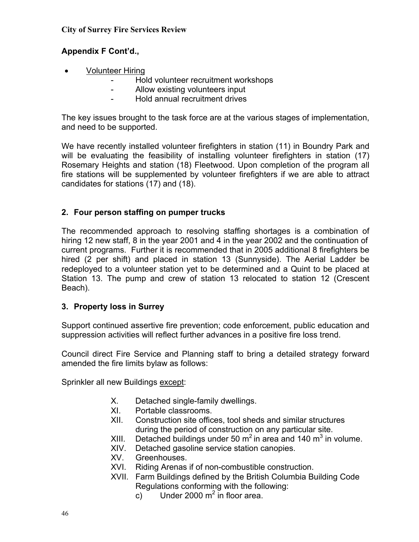#### **Appendix F Cont'd.,**

- Volunteer Hiring
	- Hold volunteer recruitment workshops
	- Allow existing volunteers input
	- Hold annual recruitment drives

The key issues brought to the task force are at the various stages of implementation, and need to be supported.

We have recently installed volunteer firefighters in station (11) in Boundry Park and will be evaluating the feasibility of installing volunteer firefighters in station (17) Rosemary Heights and station (18) Fleetwood. Upon completion of the program all fire stations will be supplemented by volunteer firefighters if we are able to attract candidates for stations (17) and (18).

#### **2. Four person staffing on pumper trucks**

The recommended approach to resolving staffing shortages is a combination of hiring 12 new staff, 8 in the year 2001 and 4 in the year 2002 and the continuation of current programs. Further it is recommended that in 2005 additional 8 firefighters be hired (2 per shift) and placed in station 13 (Sunnyside). The Aerial Ladder be redeployed to a volunteer station yet to be determined and a Quint to be placed at Station 13. The pump and crew of station 13 relocated to station 12 (Crescent Beach).

#### **3. Property loss in Surrey**

Support continued assertive fire prevention; code enforcement, public education and suppression activities will reflect further advances in a positive fire loss trend.

Council direct Fire Service and Planning staff to bring a detailed strategy forward amended the fire limits bylaw as follows:

Sprinkler all new Buildings except:

- X. Detached single-family dwellings.
- XI. Portable classrooms.
- XII. Construction site offices, tool sheds and similar structures during the period of construction on any particular site.
- XIII. Detached buildings under 50  $m^2$  in area and 140  $m^3$  in volume.
- XIV. Detached gasoline service station canopies.
- XV. Greenhouses.
- XVI. Riding Arenas if of non-combustible construction.
- XVII. Farm Buildings defined by the British Columbia Building Code Regulations conforming with the following:
	- c) Under 2000  $m^2$  in floor area.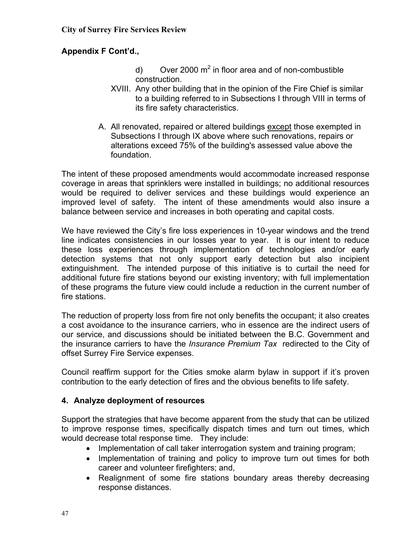#### **Appendix F Cont'd.,**

- d) Over 2000  $m^2$  in floor area and of non-combustible construction.
- XVIII. Any other building that in the opinion of the Fire Chief is similar to a building referred to in Subsections I through VIII in terms of its fire safety characteristics.
- A. All renovated, repaired or altered buildings except those exempted in Subsections I through IX above where such renovations, repairs or alterations exceed 75% of the building's assessed value above the foundation.

The intent of these proposed amendments would accommodate increased response coverage in areas that sprinklers were installed in buildings; no additional resources would be required to deliver services and these buildings would experience an improved level of safety. The intent of these amendments would also insure a balance between service and increases in both operating and capital costs.

We have reviewed the City's fire loss experiences in 10-year windows and the trend line indicates consistencies in our losses year to year. It is our intent to reduce these loss experiences through implementation of technologies and/or early detection systems that not only support early detection but also incipient extinguishment. The intended purpose of this initiative is to curtail the need for additional future fire stations beyond our existing inventory; with full implementation of these programs the future view could include a reduction in the current number of fire stations.

The reduction of property loss from fire not only benefits the occupant; it also creates a cost avoidance to the insurance carriers, who in essence are the indirect users of our service, and discussions should be initiated between the B.C. Government and the insurance carriers to have the *Insurance Premium Tax* redirected to the City of offset Surrey Fire Service expenses.

Council reaffirm support for the Cities smoke alarm bylaw in support if it's proven contribution to the early detection of fires and the obvious benefits to life safety.

#### **4. Analyze deployment of resources**

Support the strategies that have become apparent from the study that can be utilized to improve response times, specifically dispatch times and turn out times, which would decrease total response time. They include:

- Implementation of call taker interrogation system and training program;
- Implementation of training and policy to improve turn out times for both career and volunteer firefighters; and,
- Realignment of some fire stations boundary areas thereby decreasing response distances.